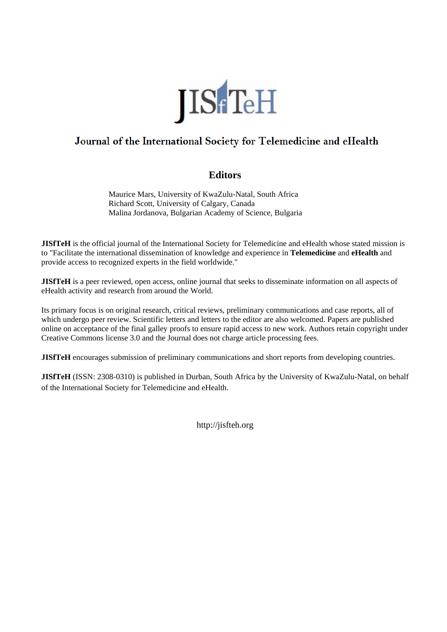

# Journal of the International Society for Telemedicine and eHealth

# **Editors**

Maurice Mars, University of KwaZulu-Natal, South Africa Richard Scott, University of Calgary, Canada Malina Jordanova, Bulgarian Academy of Science, Bulgaria

**JISfTeH** is the official journal of the International Society for Telemedicine and eHealth whose stated mission is to "Facilitate the international dissemination of knowledge and experience in **Telemedicine** and **eHealth** and provide access to recognized experts in the field worldwide."

**JISfTeH** is a peer reviewed, open access, online journal that seeks to disseminate information on all aspects of eHealth activity and research from around the World.

Its primary focus is on original research, critical reviews, preliminary communications and case reports, all of which undergo peer review. Scientific letters and letters to the editor are also welcomed. Papers are published online on acceptance of the final galley proofs to ensure rapid access to new work. Authors retain copyright under Creative Commons license 3.0 and the Journal does not charge article processing fees.

**JISfTeH** encourages submission of preliminary communications and short reports from developing countries.

**JISfTeH** (ISSN: 2308-0310) is published in Durban, South Africa by the University of KwaZulu-Natal, on behalf of the International Society for Telemedicine and eHealth.

http://jisfteh.org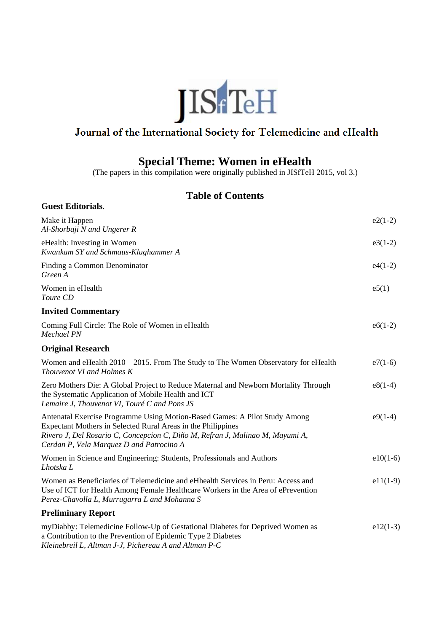

# Journal of the International Society for Telemedicine and eHealth

# **Special Theme: Women in eHealth**

(The papers in this compilation were originally published in JISfTeH 2015, vol 3.)

# **Table of Contents**

| Make it Happen<br>Al-Shorbaji N and Ungerer R                                                                                                                                                                                                                           | $e2(1-2)$    |
|-------------------------------------------------------------------------------------------------------------------------------------------------------------------------------------------------------------------------------------------------------------------------|--------------|
| eHealth: Investing in Women<br>Kwankam SY and Schmaus-Klughammer A                                                                                                                                                                                                      | $e3(1-2)$    |
| Finding a Common Denominator<br>Green A                                                                                                                                                                                                                                 | $e^{4(1-2)}$ |
| Women in eHealth<br>Toure CD                                                                                                                                                                                                                                            | e5(1)        |
| <b>Invited Commentary</b>                                                                                                                                                                                                                                               |              |
| Coming Full Circle: The Role of Women in eHealth<br><b>Mechael PN</b>                                                                                                                                                                                                   | $e6(1-2)$    |
| <b>Original Research</b>                                                                                                                                                                                                                                                |              |
| Women and eHealth $2010 - 2015$ . From The Study to The Women Observatory for eHealth<br>Thouvenot VI and Holmes K                                                                                                                                                      | $e7(1-6)$    |
| Zero Mothers Die: A Global Project to Reduce Maternal and Newborn Mortality Through<br>the Systematic Application of Mobile Health and ICT<br>Lemaire J, Thouvenot VI, Touré C and Pons JS                                                                              | $e8(1-4)$    |
| Antenatal Exercise Programme Using Motion-Based Games: A Pilot Study Among<br>Expectant Mothers in Selected Rural Areas in the Philippines<br>Rivero J, Del Rosario C, Concepcion C, Diño M, Refran J, Malinao M, Mayumi A,<br>Cerdan P, Vela Marquez D and Patrocino A | $e9(1-4)$    |
| Women in Science and Engineering: Students, Professionals and Authors<br>Lhotska L                                                                                                                                                                                      | $e10(1-6)$   |
| Women as Beneficiaries of Telemedicine and eHhealth Services in Peru: Access and<br>Use of ICT for Health Among Female Healthcare Workers in the Area of ePrevention<br>Perez-Chavolla L, Murrugarra L and Mohanna S                                                    | $e11(1-9)$   |
| <b>Preliminary Report</b>                                                                                                                                                                                                                                               |              |
| myDiabby: Telemedicine Follow-Up of Gestational Diabetes for Deprived Women as<br>a Contribution to the Prevention of Epidemic Type 2 Diabetes<br>Kleinehreil L. Altman L.I. Pichereau A and Altman P.C.                                                                | $e12(1-3)$   |

*Kleinebreil L, Altman J-J, Pichereau A and Altman P-C*

**Guest Editorials**.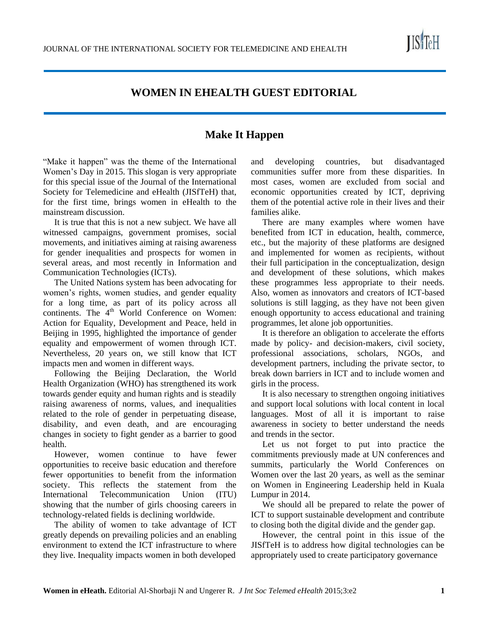

# **WOMEN IN EHEALTH GUEST EDITORIAL**

# **Make It Happen**

"Make it happen" was the theme of the International Women's Day in 2015. This slogan is very appropriate for this special issue of the Journal of the International Society for Telemedicine and eHealth (JISfTeH) that, for the first time, brings women in eHealth to the mainstream discussion.

It is true that this is not a new subject. We have all witnessed campaigns, government promises, social movements, and initiatives aiming at raising awareness for gender inequalities and prospects for women in several areas, and most recently in Information and Communication Technologies (ICTs).

The United Nations system has been advocating for women's rights, women studies, and gender equality for a long time, as part of its policy across all continents. The  $4<sup>th</sup>$  World Conference on Women: Action for Equality, Development and Peace, held in Beijing in 1995, highlighted the importance of gender equality and empowerment of women through ICT. Nevertheless, 20 years on, we still know that ICT impacts men and women in different ways.

Following the Beijing Declaration, the World Health Organization (WHO) has strengthened its work towards gender equity and human rights and is steadily raising awareness of norms, values, and inequalities related to the role of gender in perpetuating disease, disability, and even death, and are encouraging changes in society to fight gender as a barrier to good health.

However, women continue to have fewer opportunities to receive basic education and therefore fewer opportunities to benefit from the information society. This reflects the statement from the International Telecommunication Union (ITU) showing that the number of girls choosing careers in technology-related fields is declining worldwide.

The ability of women to take advantage of ICT greatly depends on prevailing policies and an enabling environment to extend the ICT infrastructure to where they live. Inequality impacts women in both developed and developing countries, but disadvantaged communities suffer more from these disparities. In most cases, women are excluded from social and economic opportunities created by ICT, depriving them of the potential active role in their lives and their families alike.

There are many examples where women have benefited from ICT in education, health, commerce, etc., but the majority of these platforms are designed and implemented for women as recipients, without their full participation in the conceptualization, design and development of these solutions, which makes these programmes less appropriate to their needs. Also, women as innovators and creators of ICT-based solutions is still lagging, as they have not been given enough opportunity to access educational and training programmes, let alone job opportunities.

It is therefore an obligation to accelerate the efforts made by policy- and decision-makers, civil society, professional associations, scholars, NGOs, and development partners, including the private sector, to break down barriers in ICT and to include women and girls in the process.

It is also necessary to strengthen ongoing initiatives and support local solutions with local content in local languages. Most of all it is important to raise awareness in society to better understand the needs and trends in the sector.

Let us not forget to put into practice the commitments previously made at UN conferences and summits, particularly the World Conferences on Women over the last 20 years, as well as the seminar on Women in Engineering Leadership held in Kuala Lumpur in 2014.

We should all be prepared to relate the power of ICT to support sustainable development and contribute to closing both the digital divide and the gender gap.

However, the central point in this issue of the JISfTeH is to address how digital technologies can be appropriately used to create participatory governance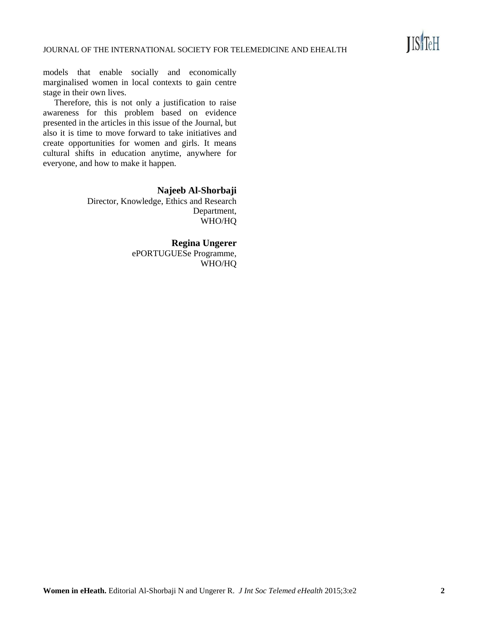

models that enable socially and economically marginalised women in local contexts to gain centre stage in their own lives.

Therefore, this is not only a justification to raise awareness for this problem based on evidence presented in the articles in this issue of the Journal, but also it is time to move forward to take initiatives and create opportunities for women and girls. It means cultural shifts in education anytime, anywhere for everyone, and how to make it happen.

**Najeeb Al-Shorbaji**

Director, Knowledge, Ethics and Research Department, WHO/HQ

**Regina Ungerer**

ePORTUGUESe Programme, WHO/HQ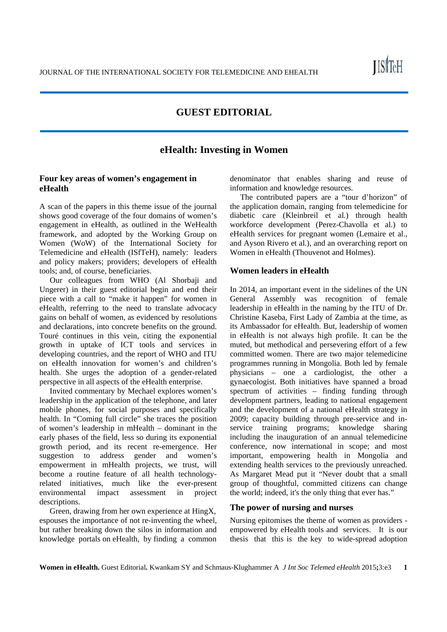**IIS**TeH

# **GUEST EDITORIAL**

## **eHealth: Investing in Women**

## **Four key areas of women's engagement in eHealth**

A scan of the papers in this theme issue of the journal shows good coverage of the four domains of women's engagement in eHealth, as outlined in the WeHealth framework, and adopted by the Working Group on Women (WoW) of the International Society for Telemedicine and eHealth (ISfTeH), namely: leaders and policy makers; providers; developers of eHealth tools; and, of course, beneficiaries.

Our colleagues from WHO (Al Shorbaji and Ungerer) in their guest editorial begin and end their piece with a call to "make it happen" for women in eHealth, referring to the need to translate advocacy gains on behalf of women, as evidenced by resolutions and declarations, into concrete benefits on the ground. Touré continues in this vein, citing the exponential growth in uptake of ICT tools and services in developing countries, and the report of WHO and ITU on eHealth innovation for women's and children's health. She urges the adoption of a gender-related perspective in all aspects of the eHealth enterprise.

Invited commentary by Mechael explores women's leadership in the application of the telephone, and later mobile phones, for social purposes and specifically health. In "Coming full circle" she traces the position of women's leadership in mHealth – dominant in the early phases of the field, less so during its exponential growth period, and its recent re-emergence. Her suggestion to address gender and women's empowerment in mHealth projects, we trust, will become a routine feature of all health technologyrelated initiatives, much like the ever-present environmental impact assessment in project descriptions.

Green, drawing from her own experience at HingX, espouses the importance of not re-inventing the wheel, but rather breaking down the silos in information and knowledge portals on eHealth, by finding a common

denominator that enables sharing and reuse of information and knowledge resources.

The contributed papers are a "tour d'horizon" of the application domain, ranging from telemedicine for diabetic care (Kleinbreil et al*.*) through health workforce development (Perez-Chavolla et al.) to eHealth services for pregnant women (Lemaire et al., and Ayson Rivero et al*.*), and an overarching report on Women in eHealth (Thouvenot and Holmes).

#### **Women leaders in eHealth**

In 2014, an important event in the sidelines of the UN General Assembly was recognition of female leadership in eHealth in the naming by the ITU of Dr. Christine Kaseba, First Lady of Zambia at the time, as its Ambassador for eHealth. But, leadership of women in eHealth is not always high profile. It can be the muted, but methodical and persevering effort of a few committed women. There are two major telemedicine programmes running in Mongolia. Both led by female physicians – one a cardiologist, the other a gynaecologist. Both initiatives have spanned a broad spectrum of activities – finding funding through development partners, leading to national engagement and the development of a national eHealth strategy in 2009; capacity building through pre-service and inservice training programs; knowledge sharing including the inauguration of an annual telemedicine conference, now international in scope; and most important, empowering health in Mongolia and extending health services to the previously unreached. As Margaret Mead put it "Never doubt that a small group of thoughtful, committed citizens can change the world; indeed, it's the only thing that ever has."

#### **The power of nursing and nurses**

Nursing epitomises the theme of women as providers empowered by eHealth tools and services. It is our thesis that this is the key to wide-spread adoption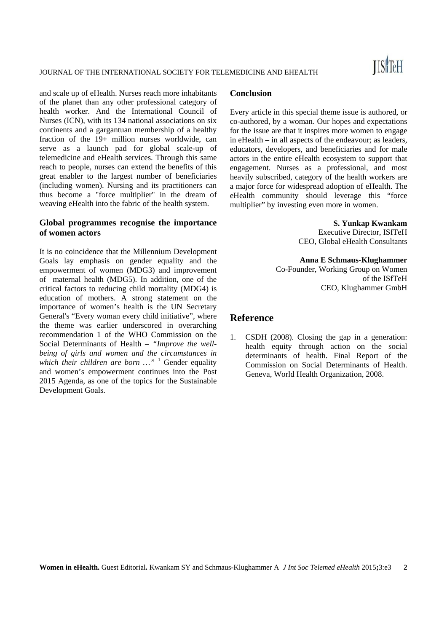and scale up of eHealth. Nurses reach more inhabitants of the planet than any other professional category of health worker. And the International Council of Nurses (ICN), with its 134 national associations on six continents and a gargantuan membership of a healthy fraction of the 19+ million nurses worldwide, can serve as a launch pad for global scale-up of telemedicine and eHealth services. Through this same reach to people, nurses can extend the benefits of this great enabler to the largest number of beneficiaries (including women). Nursing and its practitioners can thus become a "force multiplier" in the dream of weaving eHealth into the fabric of the health system.

## **Global programmes recognise the importance of women actors**

It is no coincidence that the Millennium Development Goals lay emphasis on gender equality and the empowerment of women (MDG3) and improvement of maternal health (MDG5). In addition, one of the critical factors to reducing child mortality (MDG4) is education of mothers. A strong statement on the importance of women's health is the UN Secretary General's "Every woman every child initiative", where the theme was earlier underscored in overarching recommendation 1 of the WHO Commission on the Social Determinants of Health – *"Improve the wellbeing of girls and women and the circumstances in which their children are born …"* <sup>1</sup> Gender equality and women's empowerment continues into the Post 2015 Agenda, as one of the topics for the Sustainable Development Goals.

#### **Conclusion**

Every article in this special theme issue is authored, or co-authored, by a woman. Our hopes and expectations for the issue are that it inspires more women to engage in eHealth – in all aspects of the endeavour; as leaders, educators, developers, and beneficiaries and for male actors in the entire eHealth ecosystem to support that engagement. Nurses as a professional, and most heavily subscribed, category of the health workers are a major force for widespread adoption of eHealth. The eHealth community should leverage this "force multiplier" by investing even more in women.

#### **S. Yunkap Kwankam**

Executive Director, ISfTeH CEO, Global eHealth Consultants

**Anna E Schmaus-Klughammer**  Co-Founder, Working Group on Women of the ISfTeH CEO, Klughammer GmbH

## **Reference**

1. CSDH (2008). Closing the gap in a generation: health equity through action on the social determinants of health. Final Report of the Commission on Social Determinants of Health. Geneva, World Health Organization, 2008.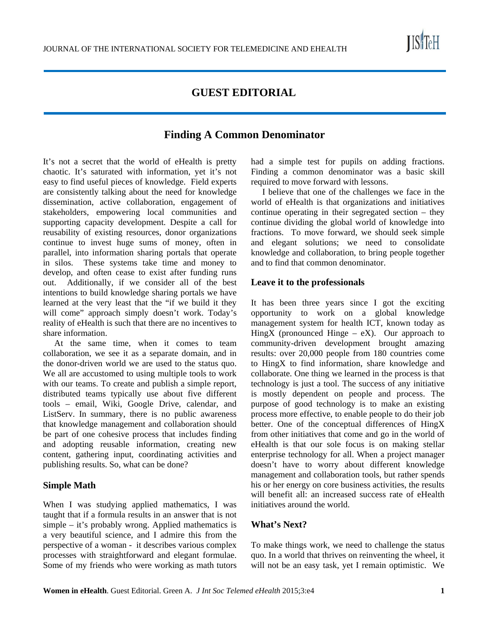

# **GUEST EDITORIAL**

# **Finding A Common Denominator**

It's not a secret that the world of eHealth is pretty chaotic. It's saturated with information, yet it's not easy to find useful pieces of knowledge. Field experts are consistently talking about the need for knowledge dissemination, active collaboration, engagement of stakeholders, empowering local communities and supporting capacity development. Despite a call for reusability of existing resources, donor organizations continue to invest huge sums of money, often in parallel, into information sharing portals that operate in silos. These systems take time and money to develop, and often cease to exist after funding runs out. Additionally, if we consider all of the best intentions to build knowledge sharing portals we have learned at the very least that the "if we build it they will come" approach simply doesn't work. Today's reality of eHealth is such that there are no incentives to share information.

At the same time, when it comes to team collaboration, we see it as a separate domain, and in the donor-driven world we are used to the status quo. We all are accustomed to using multiple tools to work with our teams. To create and publish a simple report, distributed teams typically use about five different tools – email, Wiki, Google Drive, calendar, and ListServ. In summary, there is no public awareness that knowledge management and collaboration should be part of one cohesive process that includes finding and adopting reusable information, creating new content, gathering input, coordinating activities and publishing results. So, what can be done?

## **Simple Math**

When I was studying applied mathematics, I was taught that if a formula results in an answer that is not simple – it's probably wrong. Applied mathematics is a very beautiful science, and I admire this from the perspective of a woman - it describes various complex processes with straightforward and elegant formulae. Some of my friends who were working as math tutors

had a simple test for pupils on adding fractions. Finding a common denominator was a basic skill required to move forward with lessons.

I believe that one of the challenges we face in the world of eHealth is that organizations and initiatives continue operating in their segregated section – they continue dividing the global world of knowledge into fractions. To move forward, we should seek simple and elegant solutions; we need to consolidate knowledge and collaboration, to bring people together and to find that common denominator.

#### **Leave it to the professionals**

It has been three years since I got the exciting opportunity to work on a global knowledge management system for health ICT, known today as HingX (pronounced Hinge –  $eX$ ). Our approach to community-driven development brought amazing results: over 20,000 people from 180 countries come to HingX to find information, share knowledge and collaborate. One thing we learned in the process is that technology is just a tool. The success of any initiative is mostly dependent on people and process. The purpose of good technology is to make an existing process more effective, to enable people to do their job better. One of the conceptual differences of HingX from other initiatives that come and go in the world of eHealth is that our sole focus is on making stellar enterprise technology for all. When a project manager doesn't have to worry about different knowledge management and collaboration tools, but rather spends his or her energy on core business activities, the results will benefit all: an increased success rate of eHealth initiatives around the world.

## **What's Next?**

To make things work, we need to challenge the status quo. In a world that thrives on reinventing the wheel, it will not be an easy task, yet I remain optimistic. We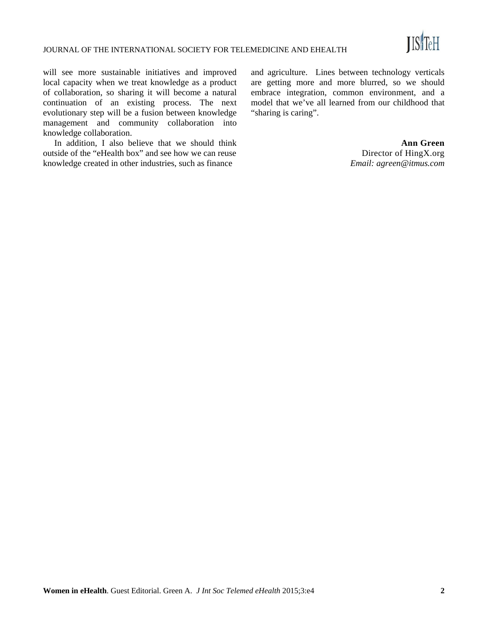

will see more sustainable initiatives and improved local capacity when we treat knowledge as a product of collaboration, so sharing it will become a natural continuation of an existing process. The next evolutionary step will be a fusion between knowledge management and community collaboration into knowledge collaboration.

In addition, I also believe that we should think outside of the "eHealth box" and see how we can reuse knowledge created in other industries, such as finance

and agriculture. Lines between technology verticals are getting more and more blurred, so we should embrace integration, common environment, and a model that we've all learned from our childhood that "sharing is caring".

> **Ann Green**  Director of HingX.org *Email: agreen@itmus.com*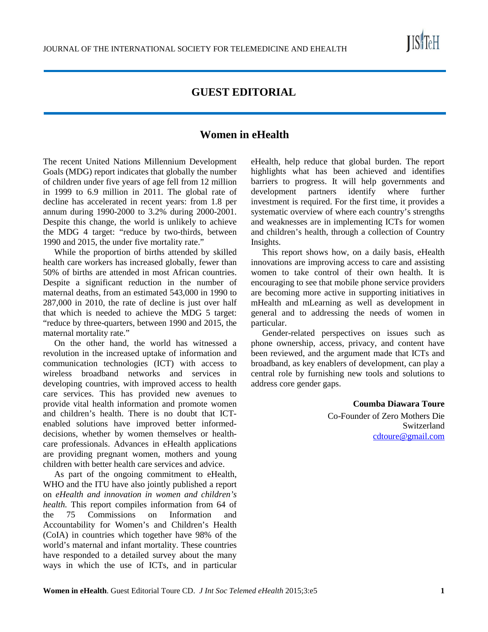

# **GUEST EDITORIAL**

# **Women in eHealth**

The recent United Nations Millennium Development Goals (MDG) report indicates that globally the number of children under five years of age fell from 12 million in 1999 to 6.9 million in 2011. The global rate of decline has accelerated in recent years: from 1.8 per annum during 1990-2000 to 3.2% during 2000-2001. Despite this change, the world is unlikely to achieve the MDG 4 target: "reduce by two-thirds, between 1990 and 2015, the under five mortality rate."

While the proportion of births attended by skilled health care workers has increased globally, fewer than 50% of births are attended in most African countries. Despite a significant reduction in the number of maternal deaths, from an estimated 543,000 in 1990 to 287,000 in 2010, the rate of decline is just over half that which is needed to achieve the MDG 5 target: "reduce by three-quarters, between 1990 and 2015, the maternal mortality rate."

On the other hand, the world has witnessed a revolution in the increased uptake of information and communication technologies (ICT) with access to wireless broadband networks and services in developing countries, with improved access to health care services. This has provided new avenues to provide vital health information and promote women and children's health. There is no doubt that ICTenabled solutions have improved better informeddecisions, whether by women themselves or healthcare professionals. Advances in eHealth applications are providing pregnant women, mothers and young children with better health care services and advice.

As part of the ongoing commitment to eHealth, WHO and the ITU have also jointly published a report on *eHealth and innovation in women and children's health.* This report compiles information from 64 of the 75 Commissions on Information and Accountability for Women's and Children's Health (CoIA) in countries which together have 98% of the world's maternal and infant mortality. These countries have responded to a detailed survey about the many ways in which the use of ICTs, and in particular eHealth, help reduce that global burden. The report highlights what has been achieved and identifies barriers to progress. It will help governments and development partners identify where further investment is required. For the first time, it provides a systematic overview of where each country's strengths and weaknesses are in implementing ICTs for women and children's health, through a collection of Country Insights.

This report shows how, on a daily basis, eHealth innovations are improving access to care and assisting women to take control of their own health. It is encouraging to see that mobile phone service providers are becoming more active in supporting initiatives in mHealth and mLearning as well as development in general and to addressing the needs of women in particular.

Gender-related perspectives on issues such as phone ownership, access, privacy, and content have been reviewed, and the argument made that ICTs and broadband, as key enablers of development, can play a central role by furnishing new tools and solutions to address core gender gaps.

> **Coumba Diawara Toure** Co-Founder of Zero Mothers Die Switzerland cdtoure@gmail.com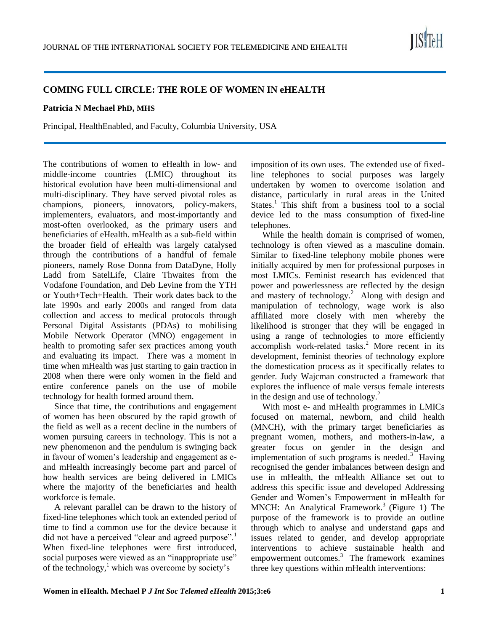## **COMING FULL CIRCLE: THE ROLE OF WOMEN IN eHEALTH**

#### **Patricia N Mechael PhD, MHS**

Principal, HealthEnabled, and Faculty, Columbia University, USA

The contributions of women to eHealth in low- and middle-income countries (LMIC) throughout its historical evolution have been multi-dimensional and multi-disciplinary. They have served pivotal roles as champions, pioneers, innovators, policy-makers, implementers, evaluators, and most-importantly and most-often overlooked, as the primary users and beneficiaries of eHealth. mHealth as a sub-field within the broader field of eHealth was largely catalysed through the contributions of a handful of female pioneers, namely Rose Donna from DataDyne, Holly Ladd from SatelLife, Claire Thwaites from the Vodafone Foundation, and Deb Levine from the YTH or Youth+Tech+Health. Their work dates back to the late 1990s and early 2000s and ranged from data collection and access to medical protocols through Personal Digital Assistants (PDAs) to mobilising Mobile Network Operator (MNO) engagement in health to promoting safer sex practices among youth and evaluating its impact. There was a moment in time when mHealth was just starting to gain traction in 2008 when there were only women in the field and entire conference panels on the use of mobile technology for health formed around them.

Since that time, the contributions and engagement of women has been obscured by the rapid growth of the field as well as a recent decline in the numbers of women pursuing careers in technology. This is not a new phenomenon and the pendulum is swinging back in favour of women's leadership and engagement as eand mHealth increasingly become part and parcel of how health services are being delivered in LMICs where the majority of the beneficiaries and health workforce is female.

A relevant parallel can be drawn to the history of fixed-line telephones which took an extended period of time to find a common use for the device because it did not have a perceived "clear and agreed purpose".<sup>1</sup> When fixed-line telephones were first introduced, social purposes were viewed as an "inappropriate use" of the technology, $\frac{1}{2}$  which was overcome by society's

imposition of its own uses. The extended use of fixedline telephones to social purposes was largely undertaken by women to overcome isolation and distance, particularly in rural areas in the United States.<sup>1</sup> This shift from a business tool to a social device led to the mass consumption of fixed-line telephones.

While the health domain is comprised of women, technology is often viewed as a masculine domain. Similar to fixed-line telephony mobile phones were initially acquired by men for professional purposes in most LMICs. Feminist research has evidenced that power and powerlessness are reflected by the design and mastery of technology.<sup>2</sup> Along with design and manipulation of technology, wage work is also affiliated more closely with men whereby the likelihood is stronger that they will be engaged in using a range of technologies to more efficiently accomplish work-related tasks. $<sup>2</sup>$  More recent in its</sup> development, feminist theories of technology explore the domestication process as it specifically relates to gender. Judy Wajcman constructed a framework that explores the influence of male versus female interests in the design and use of technology. $^{2}$ 

With most e- and mHealth programmes in LMICs focused on maternal, newborn, and child health (MNCH), with the primary target beneficiaries as pregnant women, mothers, and mothers-in-law, a greater focus on gender in the design and implementation of such programs is needed. $3$  Having recognised the gender imbalances between design and use in mHealth, the mHealth Alliance set out to address this specific issue and developed Addressing Gender and Women's Empowerment in mHealth for MNCH: An Analytical Framework.<sup>3</sup> (Figure 1) The purpose of the framework is to provide an outline through which to analyse and understand gaps and issues related to gender, and develop appropriate interventions to achieve sustainable health and empowerment outcomes.<sup>3</sup> The framework examines three key questions within mHealth interventions:

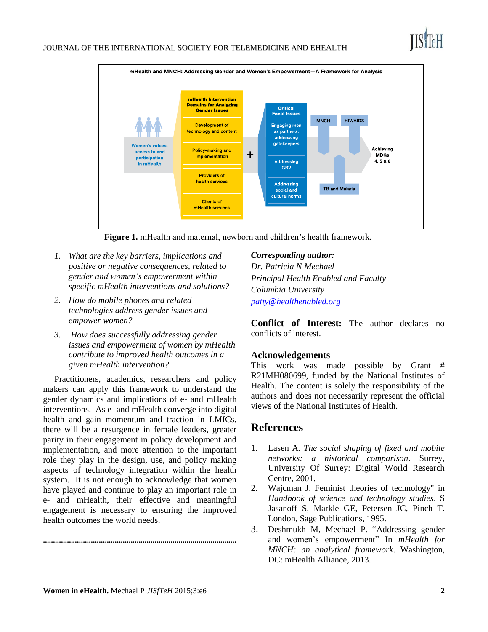

**Figure 1.** mHealth and maternal, newborn and children's health framework.

- *1. What are the key barriers, implications and positive or negative consequences, related to gender and women's empowerment within specific mHealth interventions and solutions?*
- *2. How do mobile phones and related technologies address gender issues and empower women?*
- *3. How does successfully addressing gender issues and empowerment of women by mHealth contribute to improved health outcomes in a given mHealth intervention?*

Practitioners, academics, researchers and policy makers can apply this framework to understand the gender dynamics and implications of e- and mHealth interventions. As e- and mHealth converge into digital health and gain momentum and traction in LMICs, there will be a resurgence in female leaders, greater parity in their engagement in policy development and implementation, and more attention to the important role they play in the design, use, and policy making aspects of technology integration within the health system. It is not enough to acknowledge that women have played and continue to play an important role in e- and mHealth, their effective and meaningful engagement is necessary to ensuring the improved health outcomes the world needs.

**.................................................................................................**

*Corresponding author:*

*Dr. Patricia N Mechael Principal Health Enabled and Faculty Columbia University [patty@healthenabled.org](mailto:patty@healthenabled.org)*

**Conflict of Interest:** The author declares no conflicts of interest.

## **Acknowledgements**

This work was made possible by Grant # R21MH080699, funded by the National Institutes of Health. The content is solely the responsibility of the authors and does not necessarily represent the official views of the National Institutes of Health.

# **References**

- 1. Lasen A. *The social shaping of fixed and mobile networks: a historical comparison*. Surrey, University Of Surrey: Digital World Research Centre, 2001.
- 2. Wajcman J. Feminist theories of technology" in *Handbook of science and technology studies*. S Jasanoff S, Markle GE, Petersen JC, Pinch T. London, Sage Publications, 1995.
- 3. Deshmukh M, Mechael P. "Addressing gender and women's empowerment" In *mHealth for MNCH: an analytical framework*. Washington, DC: mHealth Alliance, 2013.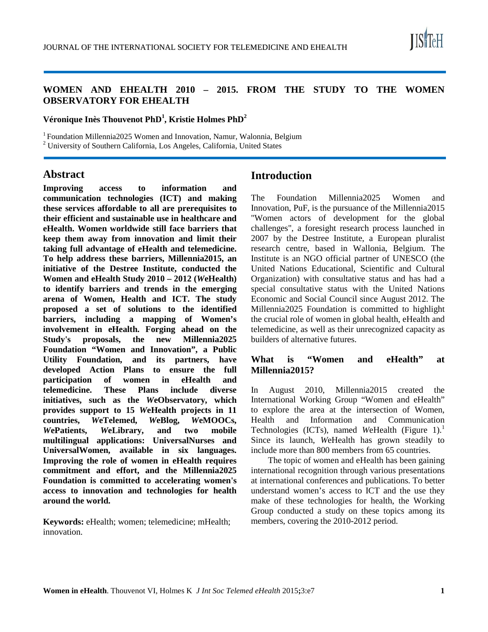

## **WOMEN AND EHEALTH 2010 – 2015. FROM THE STUDY TO THE WOMEN OBSERVATORY FOR EHEALTH**

**Véronique Inès Thouvenot PhD<sup>1</sup> , Kristie Holmes PhD<sup>2</sup>**

<sup>1</sup> Foundation Millennia2025 Women and Innovation, Namur, Walonnia, Belgium  $^{2}$  University of Southern California, Los Angeles, California, United States

# **Abstract**

**Improving access to information and communication technologies (ICT) and making these services affordable to all are prerequisites to their efficient and sustainable use in healthcare and eHealth. Women worldwide still face barriers that keep them away from innovation and limit their taking full advantage of eHealth and telemedicine. To help address these barriers, Millennia2015, an initiative of the Destree Institute, conducted the Women and eHealth Study 2010 – 2012 (***W***eHealth) to identify barriers and trends in the emerging arena of Women, Health and ICT. The study proposed a set of solutions to the identified barriers, including a mapping of Women's involvement in eHealth. Forging ahead on the Study's proposals, the new Millennia2025 Foundation "Women and Innovation", a Public Utility Foundation, and its partners, have developed Action Plans to ensure the full participation of women in eHealth and telemedicine. These Plans include diverse initiatives, such as the** *W***eObservatory, which provides support to 15** *W***eHealth projects in 11 countries,** *W***eTelemed,** *W***eBlog,** *W***eMOOCs,**  *W***ePatients,** *W***eLibrary, and two mobile multilingual applications: UniversalNurses and UniversalWomen, available in six languages. Improving the role of women in eHealth requires commitment and effort, and the Millennia2025 Foundation is committed to accelerating women's access to innovation and technologies for health around the world.**

**Keywords:** eHealth; women; telemedicine; mHealth; innovation.

# **Introduction**

The Foundation Millennia2025 Women and Innovation, PuF, is the pursuance of the Millennia2015 "Women actors of development for the global challenges", a foresight research process launched in 2007 by the Destree Institute, a European pluralist research centre, based in Wallonia, Belgium. The Institute is an NGO official partner of UNESCO (the United Nations Educational, Scientific and Cultural Organization) with consultative status and has had a special consultative status with the United Nations Economic and Social Council since August 2012. The Millennia2025 Foundation is committed to highlight the crucial role of women in global health, eHealth and telemedicine, as well as their unrecognized capacity as builders of alternative futures.

## **What is "Women and eHealth" at Millennia2015?**

In August 2010, Millennia2015 created the International Working Group "Women and eHealth" to explore the area at the intersection of Women, Health and Information and Communication Technologies (ICTs), named *WeHealth* (Figure 1).<sup>1</sup> Since its launch, *W*eHealth has grown steadily to include more than 800 members from 65 countries.

The topic of women and eHealth has been gaining international recognition through various presentations at international conferences and publications. To better understand women's access to ICT and the use they make of these technologies for health, the Working Group conducted a study on these topics among its members, covering the 2010-2012 period.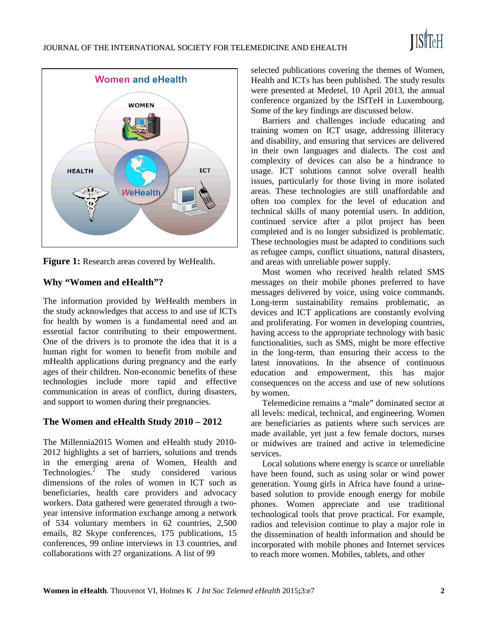

**Figure 1:** Research areas covered by *W*eHealth.

# **Why "Women and eHealth"?**

The information provided by *W*eHealth members in the study acknowledges that access to and use of ICTs for health by women is a fundamental need and an essential factor contributing to their empowerment. One of the drivers is to promote the idea that it is a human right for women to benefit from mobile and mHealth applications during pregnancy and the early ages of their children. Non-economic benefits of these technologies include more rapid and effective communication in areas of conflict, during disasters, and support to women during their pregnancies.

# **The Women and eHealth Study 2010 – 2012**

The Millennia2015 Women and eHealth study 2010- 2012 highlights a set of barriers, solutions and trends in the emerging arena of Women, Health and Technologies.<sup>2</sup> The study considered various dimensions of the roles of women in ICT such as beneficiaries, health care providers and advocacy workers. Data gathered were generated through a twoyear intensive information exchange among a network of 534 voluntary members in 62 countries, 2,500 emails, 82 Skype conferences, 175 publications, 15 conferences, 99 online interviews in 13 countries, and collaborations with 27 organizations. A list of 99

selected publications covering the themes of Women, Health and ICTs has been published. The study results were presented at Medetel, 10 April 2013, the annual conference organized by the ISfTeH in Luxembourg. Some of the key findings are discussed below.

Barriers and challenges include educating and training women on ICT usage, addressing illiteracy and disability, and ensuring that services are delivered in their own languages and dialects. The cost and complexity of devices can also be a hindrance to usage. ICT solutions cannot solve overall health issues, particularly for those living in more isolated areas. These technologies are still unaffordable and often too complex for the level of education and technical skills of many potential users. In addition, continued service after a pilot project has been completed and is no longer subsidized is problematic. These technologies must be adapted to conditions such as refugee camps, conflict situations, natural disasters, and areas with unreliable power supply.

Most women who received health related SMS messages on their mobile phones preferred to have messages delivered by voice, using voice commands. Long-term sustainability remains problematic, as devices and ICT applications are constantly evolving and proliferating. For women in developing countries, having access to the appropriate technology with basic functionalities, such as SMS, might be more effective in the long-term, than ensuring their access to the latest innovations. In the absence of continuous education and empowerment, this has major consequences on the access and use of new solutions by women.

Telemedicine remains a "male" dominated sector at all levels: medical, technical, and engineering. Women are beneficiaries as patients where such services are made available, yet just a few female doctors, nurses or midwives are trained and active in telemedicine services.

Local solutions where energy is scarce or unreliable have been found, such as using solar or wind power generation. Young girls in Africa have found a urinebased solution to provide enough energy for mobile phones. Women appreciate and use traditional technological tools that prove practical. For example, radios and television continue to play a major role in the dissemination of health information and should be incorporated with mobile phones and Internet services to reach more women. Mobiles, tablets, and other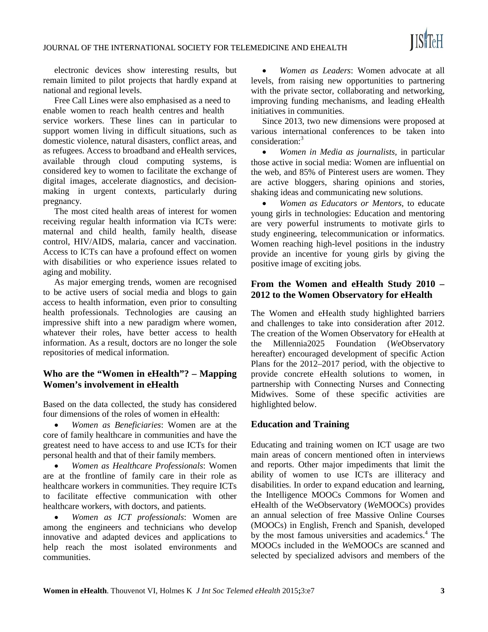electronic devices show interesting results, but remain limited to pilot projects that hardly expand at national and regional levels.

Free Call Lines were also emphasised as a need to enable women to reach health centres and health service workers. These lines can in particular to support women living in difficult situations, such as domestic violence, natural disasters, conflict areas, and as refugees. Access to broadband and eHealth services, available through cloud computing systems, is considered key to women to facilitate the exchange of digital images, accelerate diagnostics, and decisionmaking in urgent contexts, particularly during pregnancy.

The most cited health areas of interest for women receiving regular health information via ICTs were: maternal and child health, family health, disease control, HIV/AIDS, malaria, cancer and vaccination. Access to ICTs can have a profound effect on women with disabilities or who experience issues related to aging and mobility.

As major emerging trends, women are recognised to be active users of social media and blogs to gain access to health information, even prior to consulting health professionals. Technologies are causing an impressive shift into a new paradigm where women, whatever their roles, have better access to health information. As a result, doctors are no longer the sole repositories of medical information.

## **Who are the "Women in eHealth"? – Mapping Women's involvement in eHealth**

Based on the data collected, the study has considered four dimensions of the roles of women in eHealth:

• *Women as Beneficiaries*: Women are at the core of family healthcare in communities and have the greatest need to have access to and use ICTs for their personal health and that of their family members.

• *Women as Healthcare Professionals*: Women are at the frontline of family care in their role as healthcare workers in communities. They require ICTs to facilitate effective communication with other healthcare workers, with doctors, and patients.

• *Women as ICT professionals*: Women are among the engineers and technicians who develop innovative and adapted devices and applications to help reach the most isolated environments and communities.

• *Women as Leaders*: Women advocate at all levels, from raising new opportunities to partnering with the private sector, collaborating and networking, improving funding mechanisms, and leading eHealth initiatives in communities.

Since 2013, two new dimensions were proposed at various international conferences to be taken into consideration:<sup>3</sup>

• *Women in Media as journalists,* in particular those active in social media: Women are influential on the web, and 85% of Pinterest users are women. They are active bloggers, sharing opinions and stories, shaking ideas and communicating new solutions.

• *Women as Educators or Mentors,* to educate young girls in technologies: Education and mentoring are very powerful instruments to motivate girls to study engineering, telecommunication or informatics. Women reaching high-level positions in the industry provide an incentive for young girls by giving the positive image of exciting jobs.

## **From the Women and eHealth Study 2010 – 2012 to the Women Observatory for eHealth**

The Women and eHealth study highlighted barriers and challenges to take into consideration after 2012. The creation of the Women Observatory for eHealth at the Millennia2025 Foundation (*W*eObservatory hereafter) encouraged development of specific Action Plans for the 2012–2017 period, with the objective to provide concrete eHealth solutions to women, in partnership with Connecting Nurses and Connecting Midwives. Some of these specific activities are highlighted below.

## **Education and Training**

Educating and training women on ICT usage are two main areas of concern mentioned often in interviews and reports. Other major impediments that limit the ability of women to use ICTs are illiteracy and disabilities. In order to expand education and learning, the Intelligence MOOCs Commons for Women and eHealth of the WeObservatory (*W*eMOOCs) provides an annual selection of free Massive Online Courses (MOOCs) in English, French and Spanish, developed by the most famous universities and academics.<sup>4</sup> The MOOCs included in the *W*eMOOCs are scanned and selected by specialized advisors and members of the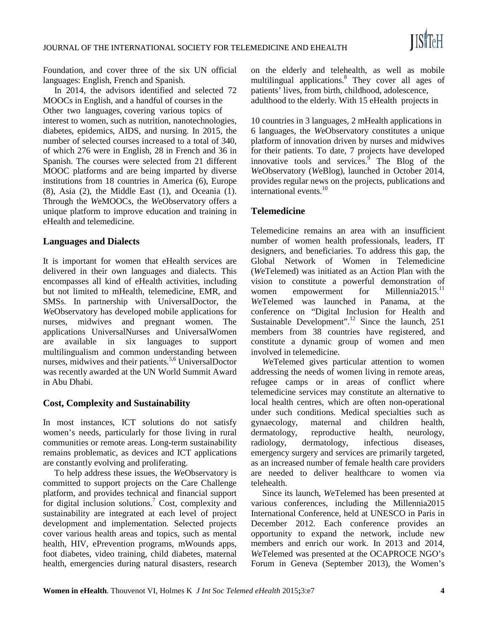Foundation, and cover three of the six UN official languages: English, French and Spanish.

In 2014, the advisors identified and selected 72 MOOCs in English, and a handful of courses in the Other two languages, covering various topics of interest to women, such as nutrition, nanotechnologies, diabetes, epidemics, AIDS, and nursing. In 2015, the number of selected courses increased to a total of 340, of which 276 were in English, 28 in French and 36 in Spanish. The courses were selected from 21 different MOOC platforms and are being imparted by diverse institutions from 18 countries in America (6), Europe (8), Asia (2), the Middle East (1), and Oceania (1). Through the *W*eMOOCs, the *W*eObservatory offers a unique platform to improve education and training in eHealth and telemedicine.

## **Languages and Dialects**

It is important for women that eHealth services are delivered in their own languages and dialects. This encompasses all kind of eHealth activities, including but not limited to mHealth, telemedicine, EMR, and SMSs. In partnership with UniversalDoctor, the *W*eObservatory has developed mobile applications for nurses, midwives and pregnant women. The applications UniversalNurses and UniversalWomen are available in six languages to support multilingualism and common understanding between nurses, midwives and their patients.<sup>5,6</sup> UniversalDoctor was recently awarded at the UN World Summit Award in Abu Dhabi.

## **Cost, Complexity and Sustainability**

In most instances, ICT solutions do not satisfy women's needs, particularly for those living in rural communities or remote areas. Long-term sustainability remains problematic, as devices and ICT applications are constantly evolving and proliferating.

To help address these issues, the *W*eObservatory is committed to support projects on the Care Challenge platform, and provides technical and financial support for digital inclusion solutions.<sup>7</sup> Cost, complexity and sustainability are integrated at each level of project development and implementation. Selected projects cover various health areas and topics, such as mental health, HIV, ePrevention programs, mWounds apps, foot diabetes, video training, child diabetes, maternal health, emergencies during natural disasters, research

on the elderly and telehealth, as well as mobile multilingual applications.<sup>8</sup> They cover all ages of patients' lives, from birth, childhood, adolescence, adulthood to the elderly. With 15 eHealth projects in

10 countries in 3 languages, 2 mHealth applications in 6 languages, the *W*eObservatory constitutes a unique platform of innovation driven by nurses and midwives for their patients. To date, 7 projects have developed innovative tools and services.<sup>9</sup> The Blog of the *W*eObservatory (*W*eBlog), launched in October 2014, provides regular news on the projects, publications and international events.<sup>10</sup>

#### **Telemedicine**

Telemedicine remains an area with an insufficient number of women health professionals, leaders, IT designers, and beneficiaries. To address this gap, the Global Network of Women in Telemedicine (*W*eTelemed) was initiated as an Action Plan with the vision to constitute a powerful demonstration of women empowerment for Millennia  $2015$ <sup>11</sup> *W*eTelemed was launched in Panama, at the conference on "Digital Inclusion for Health and Sustainable Development".<sup>12</sup> Since the launch, 251 members from 38 countries have registered, and constitute a dynamic group of women and men involved in telemedicine.

*W*eTelemed gives particular attention to women addressing the needs of women living in remote areas, refugee camps or in areas of conflict where telemedicine services may constitute an alternative to local health centres, which are often non-operational under such conditions. Medical specialties such as gynaecology, maternal and children health, dermatology, reproductive health, neurology, radiology, dermatology, infectious diseases, emergency surgery and services are primarily targeted, as an increased number of female health care providers are needed to deliver healthcare to women via telehealth.

Since its launch, *W*eTelemed has been presented at various conferences, including the Millennia2015 International Conference, held at UNESCO in Paris in December 2012. Each conference provides an opportunity to expand the network, include new members and enrich our work. In 2013 and 2014, *W*eTelemed was presented at the OCAPROCE NGO's Forum in Geneva (September 2013), the Women's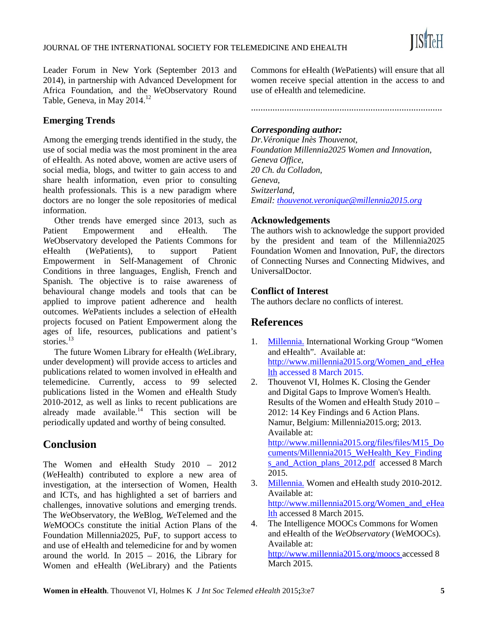Leader Forum in New York (September 2013 and 2014), in partnership with Advanced Development for Africa Foundation, and the *W*eObservatory Round Table, Geneva, in May 2014.<sup>12</sup>

# **Emerging Trends**

Among the emerging trends identified in the study, the use of social media was the most prominent in the area of eHealth. As noted above, women are active users of social media, blogs, and twitter to gain access to and share health information, even prior to consulting health professionals. This is a new paradigm where doctors are no longer the sole repositories of medical information.

Other trends have emerged since 2013, such as Patient Empowerment and eHealth. The *W*eObservatory developed the Patients Commons for eHealth (*W*ePatients), to support Patient Empowerment in Self-Management of Chronic Conditions in three languages, English, French and Spanish. The objective is to raise awareness of behavioural change models and tools that can be applied to improve patient adherence and health outcomes. *W*ePatients includes a selection of eHealth projects focused on Patient Empowerment along the ages of life, resources, publications and patient's stories.<sup>13</sup>

The future Women Library for eHealth (*W*eLibrary, under development) will provide access to articles and publications related to women involved in eHealth and telemedicine. Currently, access to 99 selected publications listed in the Women and eHealth Study 2010-2012, as well as links to recent publications are already made available. $14$  This section will be periodically updated and worthy of being consulted.

# **Conclusion**

The Women and eHealth Study 2010 – 2012 (*W*eHealth) contributed to explore a new area of investigation, at the intersection of Women, Health and ICTs, and has highlighted a set of barriers and challenges, innovative solutions and emerging trends. The *W*eObservatory, the *W*eBlog, *W*eTelemed and the *W*eMOOCs constitute the initial Action Plans of the Foundation Millennia2025, PuF, to support access to and use of eHealth and telemedicine for and by women around the world. In 2015 – 2016, the Library for Women and eHealth (*W*eLibrary) and the Patients

Commons for eHealth (*W*ePatients) will ensure that all women receive special attention in the access to and use of eHealth and telemedicine.

................................................................................

## *Corresponding author:*

*Dr.Véronique Inès Thouvenot, Foundation Millennia2025 Women and Innovation, Geneva Office, 20 Ch. du Colladon, Geneva, Switzerland, Email[: thouvenot.veronique@millennia2015.org](mailto:thouvenot.veronique@millennia2015.org)*

## **Acknowledgements**

The authors wish to acknowledge the support provided by the president and team of the Millennia2025 Foundation Women and Innovation, PuF, the directors of Connecting Nurses and Connecting Midwives, and UniversalDoctor.

## **Conflict of Interest**

The authors declare no conflicts of interest.

# **References**

- 1. Millennia. International Working Group "Women and eHealth". Available at: [http://www.millennia2015.org/Women\\_and\\_eHea](http://www.millennia2015.org/Women_and_eHealth) [lth](http://www.millennia2015.org/Women_and_eHealth) accessed 8 March 2015.
- 2. Thouvenot VI, Holmes K. Closing the Gender and Digital Gaps to Improve Women's Health. Results of the Women and eHealth Study 2010 – 2012: 14 Key Findings and 6 Action Plans. Namur, Belgium: Millennia2015.org; 2013. Available at: [http://www.millennia2015.org/files/files/M15\\_Do](http://www.millennia2015.org/files/files/M15_Documents/Millennia2015_WeHealth_Key_Findings_and_Action_plans_2012.pdf) [cuments/Millennia2015\\_WeHealth\\_Key\\_Finding](http://www.millennia2015.org/files/files/M15_Documents/Millennia2015_WeHealth_Key_Findings_and_Action_plans_2012.pdf) [s\\_and\\_Action\\_plans\\_2012.pdf](http://www.millennia2015.org/files/files/M15_Documents/Millennia2015_WeHealth_Key_Findings_and_Action_plans_2012.pdf) accessed 8 March 2015.
- 3. Millennia. Women and eHealth study 2010-2012. Available at: [http://www.millennia2015.org/Women\\_and\\_eHea](http://www.millennia2015.org/Women_and_eHealth) [lth](http://www.millennia2015.org/Women_and_eHealth) accessed 8 March 2015.
- 4. The Intelligence MOOCs Commons for Women and eHealth of the *WeObservatory* (*W*eMOOCs). Available at: <http://www.millennia2015.org/moocs> accessed 8 March 2015.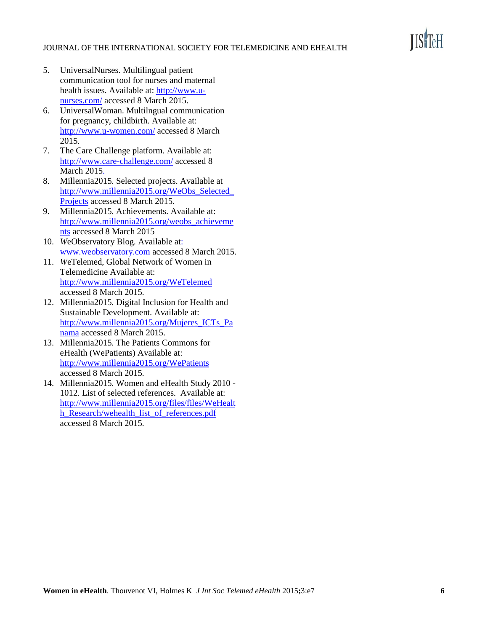#### JOURNAL OF THE INTERNATIONAL SOCIETY FOR TELEMEDICINE AND EHEALTH

- 5. UniversalNurses. Multilingual patient communication tool for nurses and maternal health issues. Available at: [http://www.u](http://www.u-nurses.com/)[nurses.com/](http://www.u-nurses.com/) accessed 8 March 2015.
- 6. UniversalWoman. Multilngual communication for pregnancy, childbirth. Available at: <http://www.u-women.com/> accessed 8 March 2015.
- 7. The Care Challenge platform. Available at: <http://www.care-challenge.com/> accessed 8 March 2015.
- 8. Millennia2015. Selected projects. Available at [http://www.millennia2015.org/WeObs\\_Selected\\_](http://www.millennia2015.org/WeObs_Selected_Projects) [Projects](http://www.millennia2015.org/WeObs_Selected_Projects) accessed 8 March 2015.
- 9. Millennia2015. Achievements. Available at: [http://www.millennia2015.org/weobs\\_achieveme](http://www.millennia2015.org/weobs_achievements) [nts](http://www.millennia2015.org/weobs_achievements) accessed 8 March 2015
- 10. *W*eObservatory Blog. Available at: [www.weobservatory.com](http://www.weobservatory.com/) accessed 8 March 2015.
- 11. *W*eTelemed, Global Network of Women in Telemedicine Available at: <http://www.millennia2015.org/WeTelemed> accessed 8 March 2015.
- 12. Millennia2015. Digital Inclusion for Health and Sustainable Development. Available at: [http://www.millennia2015.org/Mujeres\\_ICTs\\_Pa](http://www.millennia2015.org/Mujeres_ICTs_Panama) [nama](http://www.millennia2015.org/Mujeres_ICTs_Panama) accessed 8 March 2015.
- 13. Millennia2015. The Patients Commons for eHealth (WePatients) Available at: <http://www.millennia2015.org/WePatients> accessed 8 March 2015.
- 14. Millennia2015. Women and eHealth Study 2010 1012. List of selected references. Available at: [http://www.millennia2015.org/files/files/WeHealt](http://www.millennia2015.org/files/files/WeHealth_Research/wehealth_list_of_references.pdf) [h\\_Research/wehealth\\_list\\_of\\_references.pdf](http://www.millennia2015.org/files/files/WeHealth_Research/wehealth_list_of_references.pdf) accessed 8 March 2015.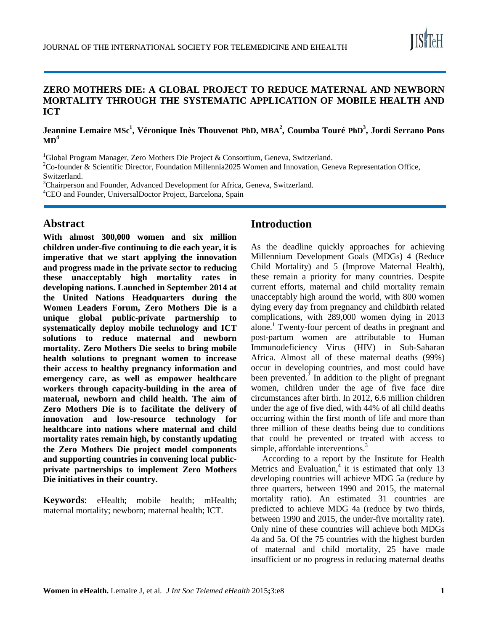

# **ZERO MOTHERS DIE: A GLOBAL PROJECT TO REDUCE MATERNAL AND NEWBORN MORTALITY THROUGH THE SYSTEMATIC APPLICATION OF MOBILE HEALTH AND ICT**

## **Jeannine Lemaire MSc<sup>1</sup> , Véronique Inès Thouvenot PhD, MBA<sup>2</sup> , Coumba Touré PhD<sup>3</sup> , Jordi Serrano Pons**   $MD<sup>4</sup>$

<sup>1</sup>Global Program Manager, Zero Mothers Die Project & Consortium, Geneva, Switzerland.

<sup>2</sup>Co-founder & Scientific Director, Foundation Millennia2025 Women and Innovation, Geneva Representation Office, Switzerland.

<sup>3</sup>Chairperson and Founder, Advanced Development for Africa, Geneva, Switzerland. 4 CEO and Founder, UniversalDoctor Project, Barcelona, Spain

# **Abstract**

**With almost 300,000 women and six million children under-five continuing to die each year, it is imperative that we start applying the innovation and progress made in the private sector to reducing these unacceptably high mortality rates in developing nations. Launched in September 2014 at the United Nations Headquarters during the Women Leaders Forum, Zero Mothers Die is a unique global public-private partnership to systematically deploy mobile technology and ICT solutions to reduce maternal and newborn mortality. Zero Mothers Die seeks to bring mobile health solutions to pregnant women to increase their access to healthy pregnancy information and emergency care, as well as empower healthcare workers through capacity-building in the area of maternal, newborn and child health. The aim of Zero Mothers Die is to facilitate the delivery of innovation and low-resource technology for healthcare into nations where maternal and child mortality rates remain high, by constantly updating the Zero Mothers Die project model components and supporting countries in convening local publicprivate partnerships to implement Zero Mothers Die initiatives in their country.**

**Keywords**: eHealth; mobile health; mHealth; maternal mortality; newborn; maternal health; ICT.

# **Introduction**

As the deadline quickly approaches for achieving Millennium Development Goals (MDGs) 4 (Reduce Child Mortality) and 5 (Improve Maternal Health), these remain a priority for many countries. Despite current efforts, maternal and child mortality remain unacceptably high around the world, with 800 women dying every day from pregnancy and childbirth related complications, with 289,000 women dying in 2013 alone.<sup>1</sup> Twenty-four percent of deaths in pregnant and post-partum women are attributable to Human Immunodeficiency Virus (HIV) in Sub-Saharan Africa. Almost all of these maternal deaths (99%) occur in developing countries, and most could have been prevented. $^{2}$  In addition to the plight of pregnant women, children under the age of five face dire circumstances after birth. In 2012, 6.6 million children under the age of five died, with 44% of all child deaths occurring within the first month of life and more than three million of these deaths being due to conditions that could be prevented or treated with access to simple, affordable interventions.<sup>3</sup>

According to a report by the Institute for Health Metrics and Evaluation, $4$  it is estimated that only 13 developing countries will achieve MDG 5a (reduce by three quarters, between 1990 and 2015, the maternal mortality ratio). An estimated 31 countries are predicted to achieve MDG 4a (reduce by two thirds, between 1990 and 2015, the under-five mortality rate). Only nine of these countries will achieve both MDGs 4a and 5a. Of the 75 countries with the highest burden of maternal and child mortality, 25 have made insufficient or no progress in reducing maternal deaths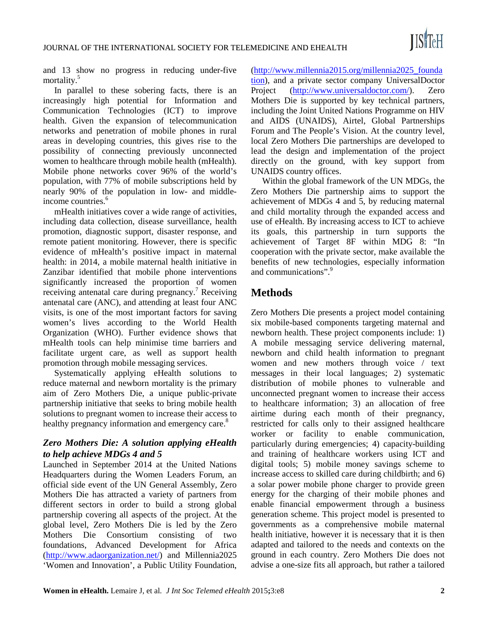

and 13 show no progress in reducing under-five mortality.5

In parallel to these sobering facts, there is an increasingly high potential for Information and Communication Technologies (ICT) to improve health. Given the expansion of telecommunication networks and penetration of mobile phones in rural areas in developing countries, this gives rise to the possibility of connecting previously unconnected women to healthcare through mobile health (mHealth). Mobile phone networks cover 96% of the world's population, with 77% of mobile subscriptions held by nearly 90% of the population in low- and middleincome countries.<sup>6</sup>

mHealth initiatives cover a wide range of activities, including data collection, disease surveillance, health promotion, diagnostic support, disaster response, and remote patient monitoring. However, there is specific evidence of mHealth's positive impact in maternal health: in 2014, a mobile maternal health initiative in Zanzibar identified that mobile phone interventions significantly increased the proportion of women receiving antenatal care during pregnancy.<sup>7</sup> Receiving antenatal care (ANC), and attending at least four ANC visits, is one of the most important factors for saving women's lives according to the World Health Organization (WHO). Further evidence shows that mHealth tools can help minimise time barriers and facilitate urgent care, as well as support health promotion through mobile messaging services.

Systematically applying eHealth solutions to reduce maternal and newborn mortality is the primary aim of Zero Mothers Die, a unique public-private partnership initiative that seeks to bring mobile health solutions to pregnant women to increase their access to healthy pregnancy information and emergency care.<sup>8</sup>

# *Zero Mothers Die: A solution applying eHealth to help achieve MDGs 4 and 5*

Launched in September 2014 at the United Nations Headquarters during the Women Leaders Forum, an official side event of the UN General Assembly, Zero Mothers Die has attracted a variety of partners from different sectors in order to build a strong global partnership covering all aspects of the project. At the global level, Zero Mothers Die is led by the Zero Mothers Die Consortium consisting of two foundations, Advanced Development for Africa [\(http://www.adaorganization.net/\)](http://www.adaorganization.net/) and Millennia2025 'Women and Innovation', a Public Utility Foundation,

[\(http://www.millennia2015.org/millennia2025\\_founda](http://www.millennia2015.org/millennia2025_foundation) [tion\)](http://www.millennia2015.org/millennia2025_foundation), and a private sector company UniversalDoctor Project [\(http://www.universaldoctor.com/\)](http://www.universaldoctor.com/). Zero Mothers Die is supported by key technical partners, including the Joint United Nations Programme on HIV and AIDS (UNAIDS), Airtel, Global Partnerships Forum and The People's Vision. At the country level, local Zero Mothers Die partnerships are developed to lead the design and implementation of the project directly on the ground, with key support from UNAIDS country offices.

Within the global framework of the UN MDGs, the Zero Mothers Die partnership aims to support the achievement of MDGs 4 and 5, by reducing maternal and child mortality through the expanded access and use of eHealth. By increasing access to ICT to achieve its goals, this partnership in turn supports the achievement of Target 8F within MDG 8: "In cooperation with the private sector, make available the benefits of new technologies, especially information and communications".<sup>9</sup>

# **Methods**

Zero Mothers Die presents a project model containing six mobile-based components targeting maternal and newborn health. These project components include: 1) A mobile messaging service delivering maternal, newborn and child health information to pregnant women and new mothers through voice / text messages in their local languages; 2) systematic distribution of mobile phones to vulnerable and unconnected pregnant women to increase their access to healthcare information; 3) an allocation of free airtime during each month of their pregnancy, restricted for calls only to their assigned healthcare worker or facility to enable communication, particularly during emergencies; 4) capacity-building and training of healthcare workers using ICT and digital tools; 5) mobile money savings scheme to increase access to skilled care during childbirth; and 6) a solar power mobile phone charger to provide green energy for the charging of their mobile phones and enable financial empowerment through a business generation scheme. This project model is presented to governments as a comprehensive mobile maternal health initiative, however it is necessary that it is then adapted and tailored to the needs and contexts on the ground in each country. Zero Mothers Die does not advise a one-size fits all approach, but rather a tailored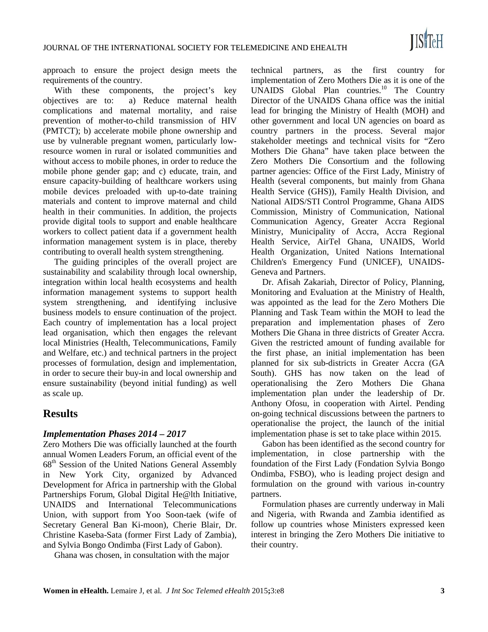approach to ensure the project design meets the requirements of the country.

With these components, the project's key objectives are to: a) Reduce maternal health complications and maternal mortality, and raise prevention of mother-to-child transmission of HIV (PMTCT); b) accelerate mobile phone ownership and use by vulnerable pregnant women, particularly lowresource women in rural or isolated communities and without access to mobile phones, in order to reduce the mobile phone gender gap; and c) educate, train, and ensure capacity-building of healthcare workers using mobile devices preloaded with up-to-date training materials and content to improve maternal and child health in their communities. In addition, the projects provide digital tools to support and enable healthcare workers to collect patient data if a government health information management system is in place, thereby contributing to overall health system strengthening.

The guiding principles of the overall project are sustainability and scalability through local ownership, integration within local health ecosystems and health information management systems to support health system strengthening, and identifying inclusive business models to ensure continuation of the project. Each country of implementation has a local project lead organisation, which then engages the relevant local Ministries (Health, Telecommunications, Family and Welfare, etc.) and technical partners in the project processes of formulation, design and implementation, in order to secure their buy-in and local ownership and ensure sustainability (beyond initial funding) as well as scale up.

# **Results**

## *Implementation Phases 2014 – 2017*

Zero Mothers Die was officially launched at the fourth annual Women Leaders Forum, an official event of the 68<sup>th</sup> Session of the United Nations General Assembly in New York City, organized by Advanced Development for Africa in partnership with the Global Partnerships Forum, Global Digital He@lth Initiative, UNAIDS and International Telecommunications Union, with support from Yoo Soon-taek (wife of Secretary General Ban Ki-moon), Cherie Blair, Dr. Christine Kaseba-Sata (former First Lady of Zambia), and Sylvia Bongo Ondimba (First Lady of Gabon).

Ghana was chosen, in consultation with the major

technical partners, as the first country for implementation of Zero Mothers Die as it is one of the UNAIDS Global Plan countries.<sup>10</sup> The Country Director of the UNAIDS Ghana office was the initial lead for bringing the Ministry of Health (MOH) and other government and local UN agencies on board as country partners in the process. Several major stakeholder meetings and technical visits for "Zero Mothers Die Ghana" have taken place between the Zero Mothers Die Consortium and the following partner agencies: Office of the First Lady, Ministry of Health (several components, but mainly from Ghana Health Service (GHS)), Family Health Division, and National AIDS/STI Control Programme, Ghana AIDS Commission, Ministry of Communication, National Communication Agency, Greater Accra Regional Ministry, Municipality of Accra, Accra Regional Health Service, AirTel Ghana, UNAIDS, World Health Organization, United Nations International Children's Emergency Fund (UNICEF), UNAIDS-Geneva and Partners.

Dr. Afisah Zakariah, Director of Policy, Planning, Monitoring and Evaluation at the Ministry of Health, was appointed as the lead for the Zero Mothers Die Planning and Task Team within the MOH to lead the preparation and implementation phases of Zero Mothers Die Ghana in three districts of Greater Accra. Given the restricted amount of funding available for the first phase, an initial implementation has been planned for six sub-districts in Greater Accra (GA South). GHS has now taken on the lead of operationalising the Zero Mothers Die Ghana implementation plan under the leadership of Dr. Anthony Ofosu, in cooperation with Airtel. Pending on-going technical discussions between the partners to operationalise the project, the launch of the initial implementation phase is set to take place within 2015.

Gabon has been identified as the second country for implementation, in close partnership with the foundation of the First Lady (Fondation Sylvia Bongo Ondimba, FSBO), who is leading project design and formulation on the ground with various in-country partners.

Formulation phases are currently underway in Mali and Nigeria, with Rwanda and Zambia identified as follow up countries whose Ministers expressed keen interest in bringing the Zero Mothers Die initiative to their country.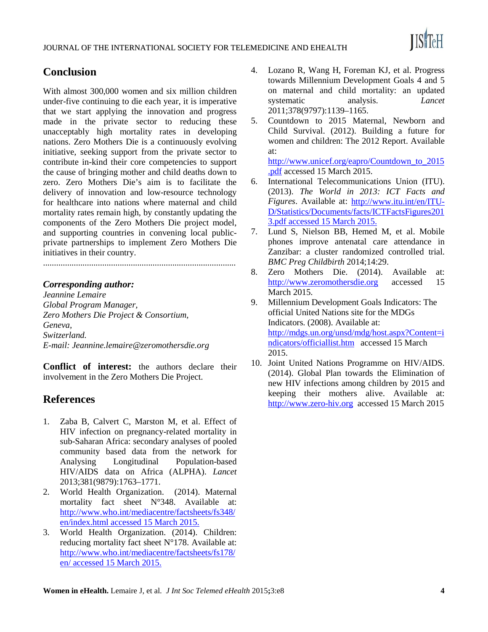

# **Conclusion**

With almost 300,000 women and six million children under-five continuing to die each year, it is imperative that we start applying the innovation and progress made in the private sector to reducing these unacceptably high mortality rates in developing nations. Zero Mothers Die is a continuously evolving initiative, seeking support from the private sector to contribute in-kind their core competencies to support the cause of bringing mother and child deaths down to zero. Zero Mothers Die's aim is to facilitate the delivery of innovation and low-resource technology for healthcare into nations where maternal and child mortality rates remain high, by constantly updating the components of the Zero Mothers Die project model, and supporting countries in convening local publicprivate partnerships to implement Zero Mothers Die initiatives in their country.

........................................................................................

# *Corresponding author:*

*Jeannine Lemaire Global Program Manager, Zero Mothers Die Project & Consortium, Geneva, Switzerland. E-mail: Jeannine.lemaire@zeromothersdie.org*

**Conflict of interest:** the authors declare their involvement in the Zero Mothers Die Project.

# **References**

- 1. Zaba B, Calvert C, Marston M, et al. Effect of HIV infection on pregnancy-related mortality in sub-Saharan Africa: secondary analyses of pooled community based data from the network for Analysing Longitudinal Population-based HIV/AIDS data on Africa (ALPHA). *Lancet*  2013;381(9879):1763–1771.
- 2. World Health Organization. (2014). Maternal mortality fact sheet N°348. Available at: [http://www.who.int/mediacentre/factsheets/fs348/](http://www.who.int/mediacentre/factsheets/fs348/en/index.html) [en/index.html](http://www.who.int/mediacentre/factsheets/fs348/en/index.html) accessed 15 March 2015.
- 3. World Health Organization. (2014). Children: reducing mortality fact sheet N°178. Available at: [http://www.who.int/mediacentre/factsheets/fs178/](http://www.who.int/mediacentre/factsheets/fs178/en/) [en/](http://www.who.int/mediacentre/factsheets/fs178/en/) accessed 15 March 2015.
- 4. Lozano R, Wang H, Foreman KJ, et al. Progress towards Millennium Development Goals 4 and 5 on maternal and child mortality: an updated systematic analysis. *Lancet* 2011;378(9797):1139–1165.
- 5. Countdown to 2015 Maternal, Newborn and Child Survival. (2012). Building a future for women and children: The 2012 Report. Available at:

[http://www.unicef.org/eapro/Countdown\\_to\\_2015](http://www.unicef.org/eapro/Countdown_to_2015.pdf) [.pdf](http://www.unicef.org/eapro/Countdown_to_2015.pdf) accessed 15 March 2015.

- 6. International Telecommunications Union (ITU). (2013). *The World in 2013: ICT Facts and Figures*. Available at: [http://www.itu.int/en/ITU-](http://www.itu.int/en/ITU-D/Statistics/Documents/facts/ICTFactsFigures2013.pdf)[D/Statistics/Documents/facts/ICTFactsFigures201](http://www.itu.int/en/ITU-D/Statistics/Documents/facts/ICTFactsFigures2013.pdf) [3.pdf](http://www.itu.int/en/ITU-D/Statistics/Documents/facts/ICTFactsFigures2013.pdf) accessed 15 March 2015.
- 7. Lund S, Nielson BB, Hemed M, et al. Mobile phones improve antenatal care attendance in Zanzibar: a cluster randomized controlled trial. *BMC Preg Childbirth* 2014;14:29.
- 8. Zero Mothers Die. (2014). Available at: [http://www.zeromothersdie.org](http://www.zeromothersdie.org/) accessed 15 March 2015.
- 9. Millennium Development Goals Indicators: The official United Nations site for the MDGs Indicators. (2008). Available at: [http://mdgs.un.org/unsd/mdg/host.aspx?Content=i](http://mdgs.un.org/unsd/mdg/host.aspx?Content=indicators/officiallist.htm) [ndicators/officiallist.htm](http://mdgs.un.org/unsd/mdg/host.aspx?Content=indicators/officiallist.htm) accessed 15 March 2015.
- 10. Joint United Nations Programme on HIV/AIDS. (2014). Global Plan towards the Elimination of new HIV infections among children by 2015 and keeping their mothers alive. Available at: [http://www.zero-hiv.org](http://www.zero-hiv.org/) accessed 15 March 2015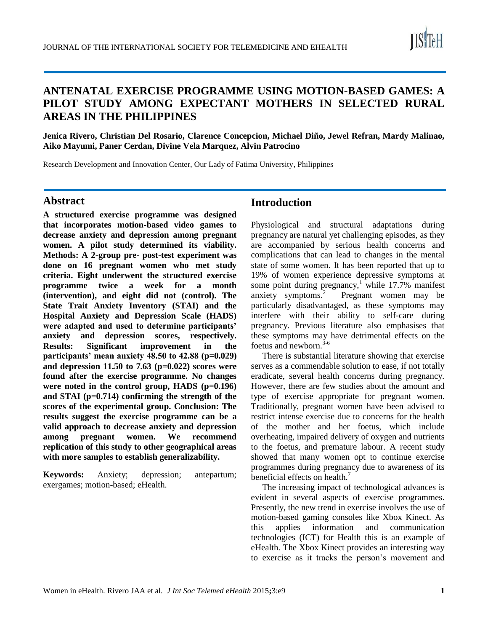

# **ANTENATAL EXERCISE PROGRAMME USING MOTION-BASED GAMES: A PILOT STUDY AMONG EXPECTANT MOTHERS IN SELECTED RURAL AREAS IN THE PHILIPPINES**

**Jenica Rivero, Christian Del Rosario, Clarence Concepcion, Michael Diño, Jewel Refran, Mardy Malinao, Aiko Mayumi, Paner Cerdan, Divine Vela Marquez, Alvin Patrocino**

Research Development and Innovation Center, Our Lady of Fatima University, Philippines

## **Abstract**

**A structured exercise programme was designed that incorporates motion-based video games to decrease anxiety and depression among pregnant women. A pilot study determined its viability. Methods: A 2-group pre- post-test experiment was done on 16 pregnant women who met study criteria. Eight underwent the structured exercise programme twice a week for a month (intervention), and eight did not (control). The State Trait Anxiety Inventory (STAI) and the Hospital Anxiety and Depression Scale (HADS) were adapted and used to determine participants' anxiety and depression scores, respectively. Results: Significant improvement in the participants' mean anxiety 48.50 to 42.88 (p=0.029) and depression 11.50 to 7.63 (p=0.022) scores were found after the exercise programme. No changes**  were noted in the control group, HADS (p=0.196) **and STAI (p=0.714) confirming the strength of the scores of the experimental group. Conclusion: The results suggest the exercise programme can be a valid approach to decrease anxiety and depression among pregnant women. We recommend replication of this study to other geographical areas with more samples to establish generalizability.**

**Keywords:** Anxiety; depression; antepartum; exergames; motion-based; eHealth.

# **Introduction**

Physiological and structural adaptations during pregnancy are natural yet challenging episodes, as they are accompanied by serious health concerns and complications that can lead to changes in the mental state of some women. It has been reported that up to 19% of women experience depressive symptoms at some point during pregnancy,<sup>1</sup> while 17.7% manifest anxiety symptoms.<sup>2</sup> Pregnant women may be particularly disadvantaged, as these symptoms may interfere with their ability to self-care during pregnancy. Previous literature also emphasises that these symptoms may have detrimental effects on the foetus and newborn.<sup>3-6</sup>

There is substantial literature showing that exercise serves as a commendable solution to ease, if not totally eradicate, several health concerns during pregnancy. However, there are few studies about the amount and type of exercise appropriate for pregnant women. Traditionally, pregnant women have been advised to restrict intense exercise due to concerns for the health of the mother and her foetus, which include overheating, impaired delivery of oxygen and nutrients to the foetus, and premature labour. A recent study showed that many women opt to continue exercise programmes during pregnancy due to awareness of its beneficial effects on health.<sup>7</sup>

The increasing impact of technological advances is evident in several aspects of exercise programmes. Presently, the new trend in exercise involves the use of motion-based gaming consoles like Xbox Kinect. As this applies information and communication technologies (ICT) for Health this is an example of eHealth. The Xbox Kinect provides an interesting way to exercise as it tracks the person's movement and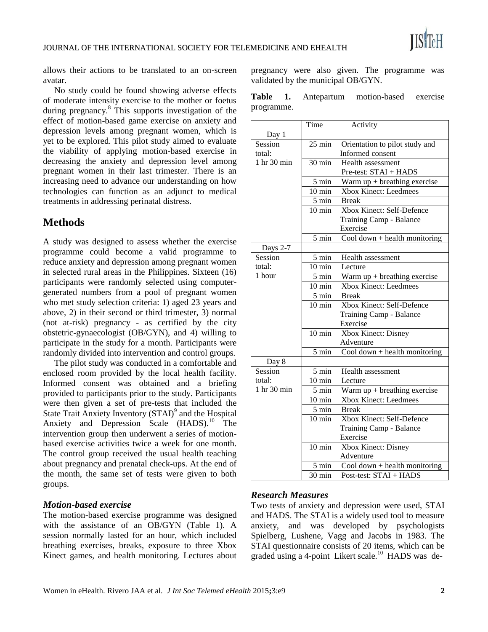allows their actions to be translated to an on-screen avatar.

No study could be found showing adverse effects of moderate intensity exercise to the mother or foetus during pregnancy.<sup>8</sup> This supports investigation of the effect of motion-based game exercise on anxiety and depression levels among pregnant women, which is yet to be explored. This pilot study aimed to evaluate the viability of applying motion-based exercise in decreasing the anxiety and depression level among pregnant women in their last trimester. There is an increasing need to advance our understanding on how technologies can function as an adjunct to medical treatments in addressing perinatal distress.

# **Methods**

A study was designed to assess whether the exercise programme could become a valid programme to reduce anxiety and depression among pregnant women in selected rural areas in the Philippines. Sixteen (16) participants were randomly selected using computergenerated numbers from a pool of pregnant women who met study selection criteria: 1) aged 23 years and above, 2) in their second or third trimester, 3) normal (not at-risk) pregnancy - as certified by the city obstetric-gynaecologist (OB/GYN), and 4) willing to participate in the study for a month. Participants were randomly divided into intervention and control groups.

The pilot study was conducted in a comfortable and enclosed room provided by the local health facility. Informed consent was obtained and a briefing provided to participants prior to the study. Participants were then given a set of pre-tests that included the State Trait Anxiety Inventory (STAI)<sup>9</sup> and the Hospital Anxiety and Depression Scale (HADS).<sup>10</sup> The intervention group then underwent a series of motionbased exercise activities twice a week for one month. The control group received the usual health teaching about pregnancy and prenatal check-ups. At the end of the month, the same set of tests were given to both groups.

## *Motion-based exercise*

The motion-based exercise programme was designed with the assistance of an OB/GYN (Table 1). A session normally lasted for an hour, which included breathing exercises, breaks, exposure to three Xbox Kinect games, and health monitoring. Lectures about pregnancy were also given. The programme was validated by the municipal OB/GYN.

**Table 1.** Antepartum motion-based exercise programme.

|                 | Time             |                                           |
|-----------------|------------------|-------------------------------------------|
|                 |                  | Activity                                  |
| Day 1           |                  |                                           |
| Session         | $25 \text{ min}$ | Orientation to pilot study and            |
| total:          |                  | Informed consent                          |
| 1 hr 30 min     | 30 min           | Health assessment                         |
|                 |                  | Pre-test: STAI + HADS                     |
|                 | $5 \text{ min}$  | Warm $up + breathing$ exercise            |
|                 | $10 \text{ min}$ | Xbox Kinect: Leedmees                     |
|                 | $5 \text{ min}$  | <b>Break</b>                              |
|                 | $10 \text{ min}$ | Xbox Kinect: Self-Defence                 |
|                 |                  | Training Camp - Balance                   |
|                 |                  | Exercise                                  |
|                 | $5 \text{ min}$  | Cool down $+$ health monitoring           |
| Days 2-7        |                  |                                           |
| Session         | 5 min            | <b>Health assessment</b>                  |
| total:          | $10 \text{ min}$ | Lecture                                   |
| 1 hour          | 5 min            | Warm $up + breathing$ exercise            |
|                 | $10 \text{ min}$ | Xbox Kinect: Leedmees                     |
|                 | 5 min            | <b>Break</b>                              |
|                 | $10 \text{ min}$ | Xbox Kinect: Self-Defence                 |
|                 |                  | Training Camp - Balance                   |
|                 |                  | Exercise                                  |
|                 | $10 \text{ min}$ | <b>Xbox Kinect: Disney</b>                |
|                 |                  | Adventure                                 |
|                 | 5 min            | Cool down $+$ health monitoring           |
| Day 8           |                  |                                           |
| Session         | 5 min            | Health assessment                         |
| total:          | $10 \text{ min}$ | Lecture                                   |
| $1$ hr $30$ min | 5 min            | $\overline{Warm}$ up + breathing exercise |
|                 | $10 \text{ min}$ | <b>Xbox Kinect: Leedmees</b>              |
|                 | $5 \text{ min}$  | <b>Break</b>                              |
|                 | $10 \text{ min}$ | Xbox Kinect: Self-Defence                 |
|                 |                  | Training Camp - Balance                   |
|                 |                  | Exercise                                  |
|                 | $10 \text{ min}$ | Xbox Kinect: Disney                       |
|                 |                  | Adventure                                 |
|                 | 5 min            | Cool down $+$ health monitoring           |
|                 | $30 \text{ min}$ | Post-test: STAI + HADS                    |
|                 |                  |                                           |

## *Research Measures*

Two tests of anxiety and depression were used, STAI and HADS. The STAI is a widely used tool to measure anxiety, and was developed by psychologists Spielberg, Lushene, Vagg and Jacobs in 1983. The STAI questionnaire consists of 20 items, which can be graded using a 4-point Likert scale.<sup>10</sup> HADS was de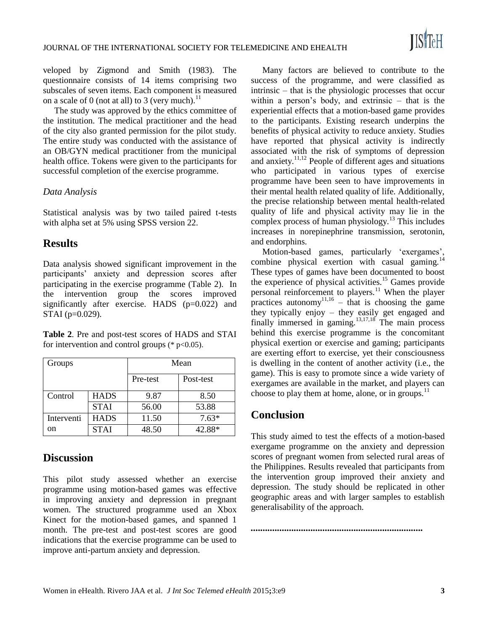veloped by Zigmond and Smith (1983). The questionnaire consists of 14 items comprising two subscales of seven items. Each component is measured on a scale of 0 (not at all) to 3 (very much).<sup>11</sup>

The study was approved by the ethics committee of the institution. The medical practitioner and the head of the city also granted permission for the pilot study. The entire study was conducted with the assistance of an OB/GYN medical practitioner from the municipal health office. Tokens were given to the participants for successful completion of the exercise programme.

## *Data Analysis*

Statistical analysis was by two tailed paired t-tests with alpha set at 5% using SPSS version 22.

# **Results**

Data analysis showed significant improvement in the participants' anxiety and depression scores after participating in the exercise programme (Table 2). In the intervention group the scores improved significantly after exercise. HADS (p=0.022) and STAI (p=0.029).

**Table 2**. Pre and post-test scores of HADS and STAI for intervention and control groups ( $*$  p<0.05).

| Groups     |             | Mean     |           |  |
|------------|-------------|----------|-----------|--|
|            |             | Pre-test | Post-test |  |
| Control    | <b>HADS</b> | 9.87     | 8.50      |  |
|            | <b>STAI</b> | 56.00    | 53.88     |  |
| Interventi | <b>HADS</b> | 11.50    | $7.63*$   |  |
| on         | <b>STAI</b> | 48.50    | 42.88*    |  |

# **Discussion**

This pilot study assessed whether an exercise programme using motion-based games was effective in improving anxiety and depression in pregnant women. The structured programme used an Xbox Kinect for the motion-based games, and spanned 1 month. The pre-test and post-test scores are good indications that the exercise programme can be used to improve anti-partum anxiety and depression.

Many factors are believed to contribute to the success of the programme, and were classified as intrinsic – that is the physiologic processes that occur within a person's body, and extrinsic – that is the experiential effects that a motion-based game provides to the participants. Existing research underpins the benefits of physical activity to reduce anxiety. Studies have reported that physical activity is indirectly associated with the risk of symptoms of depression and anxiety. $11,12$  People of different ages and situations who participated in various types of exercise programme have been seen to have improvements in their mental health related quality of life. Additionally, the precise relationship between mental health-related quality of life and physical activity may lie in the complex process of human physiology.<sup>13</sup> This includes increases in norepinephrine transmission, serotonin, and endorphins.

Motion-based games, particularly 'exergames', combine physical exertion with casual gaming.<sup>14</sup> These types of games have been documented to boost the experience of physical activities.<sup>15</sup> Games provide personal reinforcement to players.<sup>11</sup> When the player practices autonomy<sup>11,16</sup> – that is choosing the game they typically enjoy – they easily get engaged and finally immersed in gaming. $13,17,18$  The main process behind this exercise programme is the concomitant physical exertion or exercise and gaming; participants are exerting effort to exercise, yet their consciousness is dwelling in the content of another activity (i.e., the game). This is easy to promote since a wide variety of exergames are available in the market, and players can choose to play them at home, alone, or in groups. $^{11}$ 

# **Conclusion**

This study aimed to test the effects of a motion-based exergame programme on the anxiety and depression scores of pregnant women from selected rural areas of the Philippines. Results revealed that participants from the intervention group improved their anxiety and depression. The study should be replicated in other geographic areas and with larger samples to establish generalisability of the approach.

*........................................................................*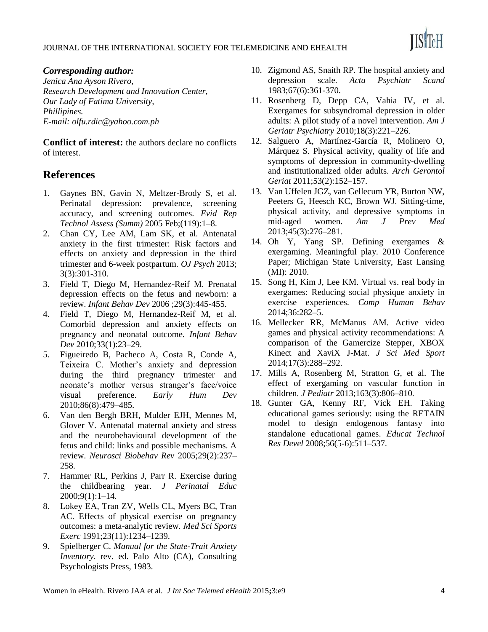

## *Corresponding author:*

*Jenica Ana Ayson Rivero, Research Development and Innovation Center, Our Lady of Fatima University, Phillipines. E-mail: olfu.rdic@yahoo.com.ph* 

**Conflict of interest:** the authors declare no conflicts of interest.

# **References**

- 1. Gaynes BN, Gavin N, Meltzer-Brody S, et al. Perinatal depression: prevalence, screening accuracy, and screening outcomes. *Evid Rep Technol Assess (Summ)* 2005 Feb;(119):1–8.
- 2. Chan CY, Lee AM, Lam SK, et al. Antenatal anxiety in the first trimester: Risk factors and effects on anxiety and depression in the third trimester and 6-week postpartum. *OJ Psych* 2013; 3(3):301-310.
- 3. Field T, Diego M, Hernandez-Reif M. Prenatal depression effects on the fetus and newborn: a review. *Infant Behav Dev* 2006 ;29(3):445-455.
- 4. Field T, Diego M, Hernandez-Reif M, et al. Comorbid depression and anxiety effects on pregnancy and neonatal outcome. *Infant Behav Dev* 2010;33(1):23–29.
- 5. Figueiredo B, Pacheco A, Costa R, Conde A, Teixeira C. Mother's anxiety and depression during the third pregnancy trimester and neonate's mother versus stranger's face/voice visual preference. *Early Hum Dev* 2010;86(8):479–485.
- 6. Van den Bergh BRH, Mulder EJH, Mennes M, Glover V. Antenatal maternal anxiety and stress and the neurobehavioural development of the fetus and child: links and possible mechanisms. A review. *Neurosci Biobehav Rev* 2005;29(2):237– 258.
- 7. Hammer RL, Perkins J, Parr R. Exercise during the childbearing year. *J Perinatal Educ* 2000;9(1):1–14.
- 8. Lokey EA, Tran ZV, Wells CL, Myers BC, Tran AC. Effects of physical exercise on pregnancy outcomes: a meta-analytic review. *Med Sci Sports Exerc* 1991;23(11):1234–1239.
- 9. Spielberger C. *Manual for the State-Trait Anxiety Inventory*. rev. ed. Palo Alto (CA), Consulting Psychologists Press, 1983.
- 10. Zigmond AS, Snaith RP. The hospital anxiety and depression scale. *Acta Psychiatr Scand* 1983;67(6):361-370.
- 11. Rosenberg D, Depp CA, Vahia IV, et al. Exergames for subsyndromal depression in older adults: A pilot study of a novel intervention. *Am J Geriatr Psychiatry* 2010;18(3):221–226.
- 12. Salguero A, Martínez-García R, Molinero O, Márquez S. Physical activity, quality of life and symptoms of depression in community-dwelling and institutionalized older adults. *Arch Gerontol Geriat* 2011;53(2):152–157.
- 13. Van Uffelen JGZ, van Gellecum YR, Burton NW, Peeters G, Heesch KC, Brown WJ. Sitting-time, physical activity, and depressive symptoms in mid-aged women. *Am J Prev Med* 2013;45(3):276–281.
- 14. Oh Y, Yang SP. Defining exergames & exergaming. Meaningful play. 2010 Conference Paper; Michigan State University, East Lansing (MI): 2010.
- 15. Song H, Kim J, Lee KM. Virtual vs. real body in exergames: Reducing social physique anxiety in exercise experiences. *Comp Human Behav* 2014;36:282–5.
- 16. Mellecker RR, McManus AM. Active video games and physical activity recommendations: A comparison of the Gamercize Stepper, XBOX Kinect and XaviX J-Mat. *J Sci Med Sport* 2014;17(3):288–292.
- 17. Mills A, Rosenberg M, Stratton G, et al. The effect of exergaming on vascular function in children. *J Pediatr* 2013;163(3):806–810.
- 18. Gunter GA, Kenny RF, Vick EH. Taking educational games seriously: using the RETAIN model to design endogenous fantasy into standalone educational games. *Educat Technol Res Devel* 2008;56(5-6):511–537.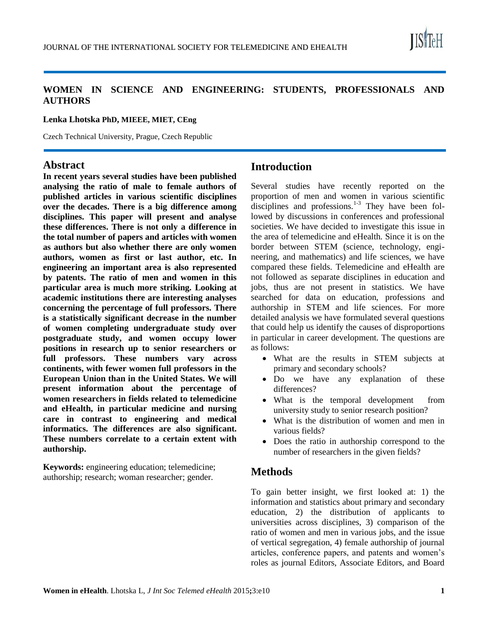

# **WOMEN IN SCIENCE AND ENGINEERING: STUDENTS, PROFESSIONALS AND AUTHORS**

#### **Lenka Lhotska PhD, MIEEE, MIET, CEng**

Czech Technical University, Prague, Czech Republic

# **Abstract**

**In recent years several studies have been published analysing the ratio of male to female authors of published articles in various scientific disciplines over the decades. There is a big difference among disciplines. This paper will present and analyse these differences. There is not only a difference in the total number of papers and articles with women as authors but also whether there are only women authors, women as first or last author, etc. In engineering an important area is also represented by patents. The ratio of men and women in this particular area is much more striking. Looking at academic institutions there are interesting analyses concerning the percentage of full professors. There is a statistically significant decrease in the number of women completing undergraduate study over postgraduate study, and women occupy lower positions in research up to senior researchers or full professors. These numbers vary across continents, with fewer women full professors in the European Union than in the United States. We will present information about the percentage of women researchers in fields related to telemedicine and eHealth, in particular medicine and nursing care in contrast to engineering and medical informatics. The differences are also significant. These numbers correlate to a certain extent with authorship.**

**Keywords:** engineering education; telemedicine; authorship; research; woman researcher; gender.

# **Introduction**

Several studies have recently reported on the proportion of men and women in various scientific disciplines and professions. $1-3$  They have been followed by discussions in conferences and professional societies. We have decided to investigate this issue in the area of telemedicine and eHealth. Since it is on the border between STEM (science, technology, engineering, and mathematics) and life sciences, we have compared these fields. Telemedicine and eHealth are not followed as separate disciplines in education and jobs, thus are not present in statistics. We have searched for data on education, professions and authorship in STEM and life sciences. For more detailed analysis we have formulated several questions that could help us identify the causes of disproportions in particular in career development. The questions are as follows:

- What are the results in STEM subjects at primary and secondary schools?
- Do we have any explanation of these differences?
- What is the temporal development from university study to senior research position?
- What is the distribution of women and men in various fields?
- Does the ratio in authorship correspond to the number of researchers in the given fields?

# **Methods**

To gain better insight, we first looked at: 1) the information and statistics about primary and secondary education, 2) the distribution of applicants to universities across disciplines, 3) comparison of the ratio of women and men in various jobs, and the issue of vertical segregation, 4) female authorship of journal articles, conference papers, and patents and women's roles as journal Editors, Associate Editors, and Board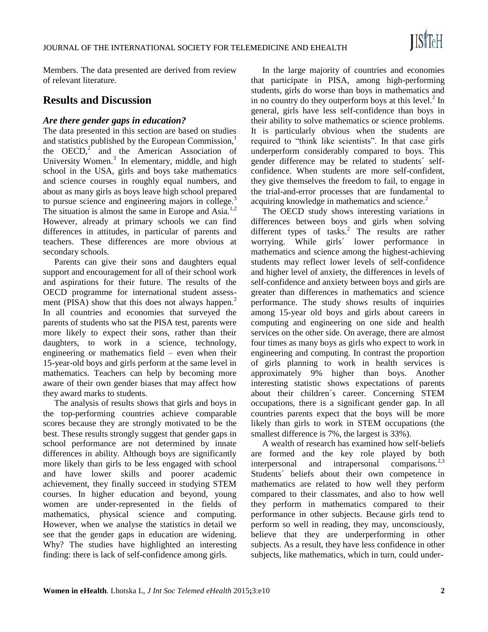Members. The data presented are derived from review of relevant literature.

# **Results and Discussion**

## *Are there gender gaps in education?*

The data presented in this section are based on studies and statistics published by the European Commission,<sup>1</sup> the OECD, $2^{\circ}$  and the American Association of University Women.<sup>3</sup> In elementary, middle, and high school in the USA, girls and boys take mathematics and science courses in roughly equal numbers, and about as many girls as boys leave high school prepared to pursue science and engineering majors in college. $3$ The situation is almost the same in Europe and Asia.<sup>1,2</sup> However, already at primary schools we can find differences in attitudes, in particular of parents and teachers. These differences are more obvious at secondary schools.

Parents can give their sons and daughters equal support and encouragement for all of their school work and aspirations for their future. The results of the OECD programme for international student assessment (PISA) show that this does not always happen.<sup>2</sup> In all countries and economies that surveyed the parents of students who sat the PISA test, parents were more likely to expect their sons, rather than their daughters, to work in a science, technology, engineering or mathematics field – even when their 15-year-old boys and girls perform at the same level in mathematics. Teachers can help by becoming more aware of their own gender biases that may affect how they award marks to students.

The analysis of results shows that girls and boys in the top-performing countries achieve comparable scores because they are strongly motivated to be the best. These results strongly suggest that gender gaps in school performance are not determined by innate differences in ability. Although boys are significantly more likely than girls to be less engaged with school and have lower skills and poorer academic achievement, they finally succeed in studying STEM courses. In higher education and beyond, young women are under-represented in the fields of mathematics, physical science and computing. However, when we analyse the statistics in detail we see that the gender gaps in education are widening. Why? The studies have highlighted an interesting finding: there is lack of self-confidence among girls.

In the large majority of countries and economies that participate in PISA, among high-performing students, girls do worse than boys in mathematics and in no country do they outperform boys at this level. $2$  In general, girls have less self-confidence than boys in their ability to solve mathematics or science problems. It is particularly obvious when the students are required to "think like scientists". In that case girls underperform considerably compared to boys. This gender difference may be related to students´ selfconfidence. When students are more self-confident, they give themselves the freedom to fail, to engage in the trial-and-error processes that are fundamental to acquiring knowledge in mathematics and science.<sup>2</sup>

The OECD study shows interesting variations in differences between boys and girls when solving different types of tasks.<sup>2</sup> The results are rather worrying. While girls´ lower performance in mathematics and science among the highest-achieving students may reflect lower levels of self-confidence and higher level of anxiety, the differences in levels of self-confidence and anxiety between boys and girls are greater than differences in mathematics and science performance. The study shows results of inquiries among 15-year old boys and girls about careers in computing and engineering on one side and health services on the other side. On average, there are almost four times as many boys as girls who expect to work in engineering and computing. In contrast the proportion of girls planning to work in health services is approximately 9% higher than boys. Another interesting statistic shows expectations of parents about their children´s career. Concerning STEM occupations, there is a significant gender gap. In all countries parents expect that the boys will be more likely than girls to work in STEM occupations (the smallest difference is 7%, the largest is 33%).

A wealth of research has examined how self-beliefs are formed and the key role played by both interpersonal and intrapersonal comparisons.<sup>2,3</sup> Students´ beliefs about their own competence in mathematics are related to how well they perform compared to their classmates, and also to how well they perform in mathematics compared to their performance in other subjects. Because girls tend to perform so well in reading, they may, unconsciously, believe that they are underperforming in other subjects. As a result, they have less confidence in other subjects, like mathematics, which in turn, could under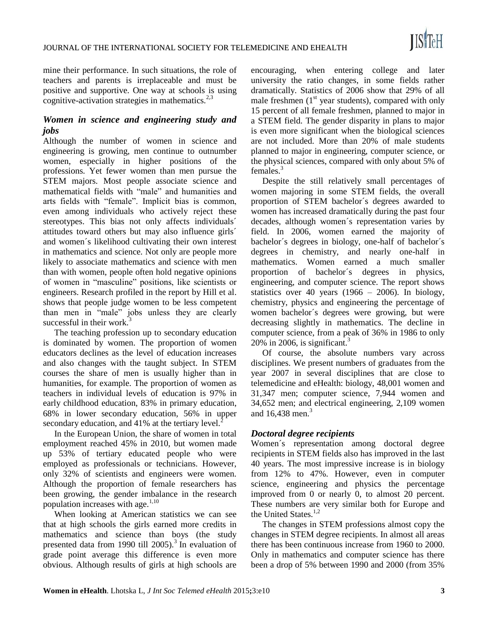mine their performance. In such situations, the role of teachers and parents is irreplaceable and must be positive and supportive. One way at schools is using cognitive-activation strategies in mathematics.<sup>2,3</sup>

# *Women in science and engineering study and jobs*

Although the number of women in science and engineering is growing, men continue to outnumber women, especially in higher positions of the professions. Yet fewer women than men pursue the STEM majors. Most people associate science and mathematical fields with "male" and humanities and arts fields with "female". Implicit bias is common, even among individuals who actively reject these stereotypes. This bias not only affects individuals´ attitudes toward others but may also influence girls´ and women´s likelihood cultivating their own interest in mathematics and science. Not only are people more likely to associate mathematics and science with men than with women, people often hold negative opinions of women in "masculine" positions, like scientists or engineers. Research profiled in the report by Hill et al. shows that people judge women to be less competent than men in "male" jobs unless they are clearly successful in their work. $3$ 

The teaching profession up to secondary education is dominated by women. The proportion of women educators declines as the level of education increases and also changes with the taught subject. In STEM courses the share of men is usually higher than in humanities, for example. The proportion of women as teachers in individual levels of education is 97% in early childhood education, 83% in primary education, 68% in lower secondary education, 56% in upper secondary education, and  $41\%$  at the tertiary level.<sup>2</sup>

In the European Union, the share of women in total employment reached 45% in 2010, but women made up 53% of tertiary educated people who were employed as professionals or technicians. However, only 32% of scientists and engineers were women. Although the proportion of female researchers has been growing, the gender imbalance in the research population increases with age. $1,10$ 

When looking at American statistics we can see that at high schools the girls earned more credits in mathematics and science than boys (the study presented data from 1990 till  $2005$ .<sup>3</sup> In evaluation of grade point average this difference is even more obvious. Although results of girls at high schools are

encouraging, when entering college and later university the ratio changes, in some fields rather dramatically. Statistics of 2006 show that 29% of all male freshmen  $(1<sup>st</sup>$  year students), compared with only 15 percent of all female freshmen, planned to major in a STEM field. The gender disparity in plans to major is even more significant when the biological sciences are not included. More than 20% of male students planned to major in engineering, computer science, or the physical sciences, compared with only about 5% of females.<sup>3</sup>

Despite the still relatively small percentages of women majoring in some STEM fields, the overall proportion of STEM bachelor´s degrees awarded to women has increased dramatically during the past four decades, although women´s representation varies by field. In 2006, women earned the majority of bachelor´s degrees in biology, one-half of bachelor´s degrees in chemistry, and nearly one-half in mathematics. Women earned a much smaller proportion of bachelor´s degrees in physics, engineering, and computer science. The report shows statistics over 40 years  $(1966 - 2006)$ . In biology, chemistry, physics and engineering the percentage of women bachelor´s degrees were growing, but were decreasing slightly in mathematics. The decline in computer science, from a peak of 36% in 1986 to only 20% in 2006, is significant.<sup>3</sup>

Of course, the absolute numbers vary across disciplines. We present numbers of graduates from the year 2007 in several disciplines that are close to telemedicine and eHealth: biology, 48,001 women and 31,347 men; computer science, 7,944 women and 34,652 men; and electrical engineering, 2,109 women and  $16,438$  men.<sup>3</sup>

## *Doctoral degree recipients*

Women´s representation among doctoral degree recipients in STEM fields also has improved in the last 40 years. The most impressive increase is in biology from 12% to 47%. However, even in computer science, engineering and physics the percentage improved from 0 or nearly 0, to almost 20 percent. These numbers are very similar both for Europe and the United States.<sup>1,2</sup>

The changes in STEM professions almost copy the changes in STEM degree recipients. In almost all areas there has been continuous increase from 1960 to 2000. Only in mathematics and computer science has there been a drop of 5% between 1990 and 2000 (from 35%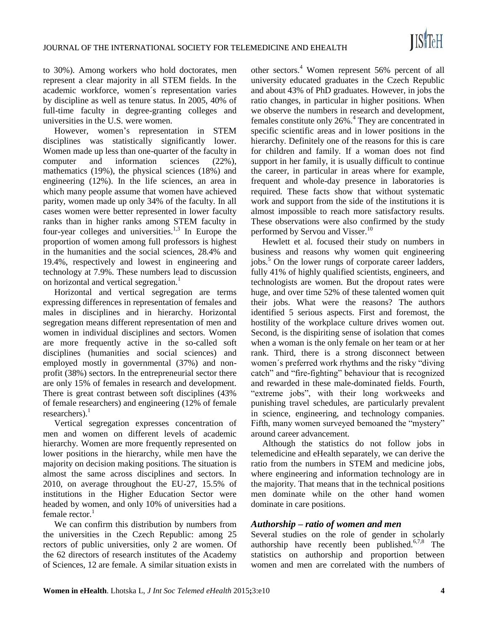to 30%). Among workers who hold doctorates, men represent a clear majority in all STEM fields. In the academic workforce, women´s representation varies by discipline as well as tenure status. In 2005, 40% of full-time faculty in degree-granting colleges and universities in the U.S. were women.

However, women's representation in STEM disciplines was statistically significantly lower. Women made up less than one-quarter of the faculty in computer and information sciences (22%), mathematics (19%), the physical sciences (18%) and engineering (12%). In the life sciences, an area in which many people assume that women have achieved parity, women made up only 34% of the faculty. In all cases women were better represented in lower faculty ranks than in higher ranks among STEM faculty in four-year colleges and universities. $1,3$  In Europe the proportion of women among full professors is highest in the humanities and the social sciences, 28.4% and 19.4%, respectively and lowest in engineering and technology at 7.9%. These numbers lead to discussion on horizontal and vertical segregation.<sup>1</sup>

Horizontal and vertical segregation are terms expressing differences in representation of females and males in disciplines and in hierarchy. Horizontal segregation means different representation of men and women in individual disciplines and sectors. Women are more frequently active in the so-called soft disciplines (humanities and social sciences) and employed mostly in governmental (37%) and nonprofit (38%) sectors. In the entrepreneurial sector there are only 15% of females in research and development. There is great contrast between soft disciplines (43% of female researchers) and engineering (12% of female researchers). $<sup>1</sup>$ </sup>

Vertical segregation expresses concentration of men and women on different levels of academic hierarchy. Women are more frequently represented on lower positions in the hierarchy, while men have the majority on decision making positions. The situation is almost the same across disciplines and sectors. In 2010, on average throughout the EU-27, 15.5% of institutions in the Higher Education Sector were headed by women, and only 10% of universities had a female rector. $<sup>1</sup>$ </sup>

We can confirm this distribution by numbers from the universities in the Czech Republic: among 25 rectors of public universities, only 2 are women. Of the 62 directors of research institutes of the Academy of Sciences, 12 are female. A similar situation exists in

other sectors.<sup>4</sup> Women represent 56% percent of all university educated graduates in the Czech Republic and about 43% of PhD graduates. However, in jobs the ratio changes, in particular in higher positions. When we observe the numbers in research and development, females constitute only 26%.<sup>4</sup> They are concentrated in specific scientific areas and in lower positions in the hierarchy. Definitely one of the reasons for this is care for children and family. If a woman does not find support in her family, it is usually difficult to continue the career, in particular in areas where for example, frequent and whole-day presence in laboratories is required. These facts show that without systematic work and support from the side of the institutions it is almost impossible to reach more satisfactory results. These observations were also confirmed by the study performed by Servou and Visser.<sup>10</sup>

Hewlett et al. focused their study on numbers in business and reasons why women quit engineering jobs.<sup>5</sup> On the lower rungs of corporate career ladders, fully 41% of highly qualified scientists, engineers, and technologists are women. But the dropout rates were huge, and over time 52% of these talented women quit their jobs. What were the reasons? The authors identified 5 serious aspects. First and foremost, the hostility of the workplace culture drives women out. Second, is the dispiriting sense of isolation that comes when a woman is the only female on her team or at her rank. Third, there is a strong disconnect between women´s preferred work rhythms and the risky "diving catch" and "fire-fighting" behaviour that is recognized and rewarded in these male-dominated fields. Fourth, "extreme jobs", with their long workweeks and punishing travel schedules, are particularly prevalent in science, engineering, and technology companies. Fifth, many women surveyed bemoaned the "mystery" around career advancement.

Although the statistics do not follow jobs in telemedicine and eHealth separately, we can derive the ratio from the numbers in STEM and medicine jobs, where engineering and information technology are in the majority. That means that in the technical positions men dominate while on the other hand women dominate in care positions.

## *Authorship – ratio of women and men*

Several studies on the role of gender in scholarly authorship have recently been published.<sup>6,7,8</sup> The statistics on authorship and proportion between women and men are correlated with the numbers of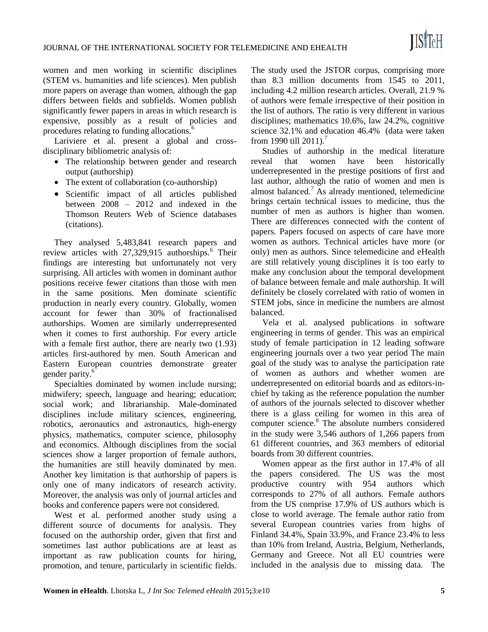women and men working in scientific disciplines (STEM vs. humanities and life sciences). Men publish more papers on average than women, although the gap differs between fields and subfields. Women publish significantly fewer papers in areas in which research is expensive, possibly as a result of policies and procedures relating to funding allocations.<sup>6</sup>

Lariviere et al. present a global and crossdisciplinary bibliometric analysis of:

- The relationship between gender and research output (authorship)
- The extent of collaboration (co-authorship)
- Scientific impact of all articles published between 2008 – 2012 and indexed in the Thomson Reuters Web of Science databases (citations).

They analysed 5,483,841 research papers and review articles with  $27,329,915$  authorships.<sup>6</sup> Their findings are interesting but unfortunately not very surprising. All articles with women in dominant author positions receive fewer citations than those with men in the same positions. Men dominate scientific production in nearly every country. Globally, women account for fewer than 30% of fractionalised authorships. Women are similarly underrepresented when it comes to first authorship. For every article with a female first author, there are nearly two  $(1.93)$ articles first-authored by men. South American and Eastern European countries demonstrate greater gender parity.<sup>6</sup>

Specialties dominated by women include nursing; midwifery; speech, language and hearing; education; social work; and librarianship. Male-dominated disciplines include military sciences, engineering, robotics, aeronautics and astronautics, high-energy physics, mathematics, computer science, philosophy and economics. Although disciplines from the social sciences show a larger proportion of female authors, the humanities are still heavily dominated by men. Another key limitation is that authorship of papers is only one of many indicators of research activity. Moreover, the analysis was only of journal articles and books and conference papers were not considered.

West et al. performed another study using a different source of documents for analysis. They focused on the authorship order, given that first and sometimes last author publications are at least as important as raw publication counts for hiring, promotion, and tenure, particularly in scientific fields. The study used the JSTOR corpus, comprising more than 8.3 million documents from 1545 to 2011, including 4.2 million research articles. Overall, 21.9 % of authors were female irrespective of their position in the list of authors. The ratio is very different in various disciplines; mathematics 10.6%, law 24.2%, cognitive science 32.1% and education 46.4% (data were taken from 1990 till 2011).<sup>7</sup>

Studies of authorship in the medical literature reveal that women have been historically underrepresented in the prestige positions of first and last author, although the ratio of women and men is almost balanced.<sup>7</sup> As already mentioned, telemedicine brings certain technical issues to medicine, thus the number of men as authors is higher than women. There are differences connected with the content of papers. Papers focused on aspects of care have more women as authors. Technical articles have more (or only) men as authors. Since telemedicine and eHealth are still relatively young disciplines it is too early to make any conclusion about the temporal development of balance between female and male authorship. It will definitely be closely correlated with ratio of women in STEM jobs, since in medicine the numbers are almost balanced.

Vela et al. analysed publications in software engineering in terms of gender. This was an empirical study of female participation in 12 leading software engineering journals over a two year period The main goal of the study was to analyse the participation rate of women as authors and whether women are underrepresented on editorial boards and as editors-inchief by taking as the reference population the number of authors of the journals selected to discover whether there is a glass ceiling for women in this area of computer science.<sup>8</sup> The absolute numbers considered in the study were 3,546 authors of 1,266 papers from 61 different countries, and 363 members of editorial boards from 30 different countries.

Women appear as the first author in 17.4% of all the papers considered. The US was the most productive country with 954 authors which corresponds to 27% of all authors. Female authors from the US comprise 17.9% of US authors which is close to world average. The female author ratio from several European countries varies from highs of Finland 34.4%, Spain 33.9%, and France 23.4% to less than 10% from Ireland, Austria, Belgium, Netherlands, Germany and Greece. Not all EU countries were included in the analysis due to missing data. The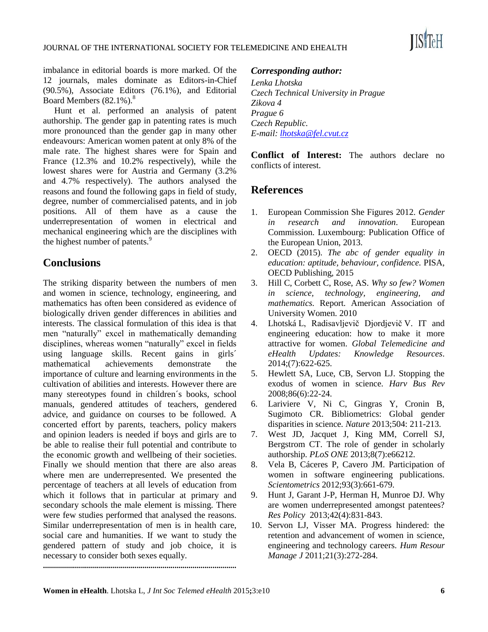

imbalance in editorial boards is more marked. Of the 12 journals, males dominate as Editors-in-Chief (90.5%), Associate Editors (76.1%), and Editorial Board Members (82.1%).<sup>8</sup>

Hunt et al. performed an analysis of patent authorship. The gender gap in patenting rates is much more pronounced than the gender gap in many other endeavours: American women patent at only 8% of the male rate. The highest shares were for Spain and France (12.3% and 10.2% respectively), while the lowest shares were for Austria and Germany (3.2% and 4.7% respectively). The authors analysed the reasons and found the following gaps in field of study, degree, number of commercialised patents, and in job positions. All of them have as a cause the underrepresentation of women in electrical and mechanical engineering which are the disciplines with the highest number of patents.<sup>9</sup>

# **Conclusions**

The striking disparity between the numbers of men and women in science, technology, engineering, and mathematics has often been considered as evidence of biologically driven gender differences in abilities and interests. The classical formulation of this idea is that men "naturally" excel in mathematically demanding disciplines, whereas women "naturally" excel in fields using language skills. Recent gains in girls´ mathematical achievements demonstrate the importance of culture and learning environments in the cultivation of abilities and interests. However there are many stereotypes found in children´s books, school manuals, gendered attitudes of teachers, gendered advice, and guidance on courses to be followed. A concerted effort by parents, teachers, policy makers and opinion leaders is needed if boys and girls are to be able to realise their full potential and contribute to the economic growth and wellbeing of their societies. Finally we should mention that there are also areas where men are underrepresented. We presented the percentage of teachers at all levels of education from which it follows that in particular at primary and secondary schools the male element is missing. There were few studies performed that analysed the reasons. Similar underrepresentation of men is in health care, social care and humanities. If we want to study the gendered pattern of study and job choice, it is necessary to consider both sexes equally.

## *Corresponding author:*

*Lenka Lhotska Czech Technical University in Prague Zikova 4 Prague 6 Czech Republic. E-mail: [lhotska@fel.cvut.cz](file:///C:/Users/Mars2011/Desktop/JISFTEH/Women%202015/Lhotska/lhotska@fel.cvut.cz)*

**Conflict of Interest:** The authors declare no conflicts of interest.

# **References**

- 1. European Commission She Figures 2012. *Gender in research and innovation*. European Commission. Luxembourg: Publication Office of the European Union, 2013.
- 2. OECD (2015). *The abc of gender equality in education: aptitude, behaviour, confidence.* PISA, OECD Publishing, 2015
- 3. Hill C, Corbett C, Rose, AS. *Why so few? Women in science, technology, engineering, and mathematics.* Report. American Association of University Women. 2010
- 4. Lhotská L, Radisavljevič Djordjevič V. IT and engineering education: how to make it more attractive for women. *Global Telemedicine and eHealth Updates: Knowledge Resources*. 2014;(7):622-625.
- 5. Hewlett SA, Luce, CB, Servon LJ. Stopping the exodus of women in science. *Harv Bus Rev* 2008;86(6):22-24.
- 6. Lariviere V, Ni C, Gingras Y, Cronin B, Sugimoto CR. Bibliometrics: Global gender disparities in science. *Nature* 2013;504: 211-213.
- 7. West JD, Jacquet J, King MM, Correll SJ, Bergstrom CT. The role of gender in scholarly authorship. *PLoS ONE* 2013;8(7):e66212.
- 8. Vela B, Cáceres P, Cavero JM. Participation of women in software engineering publications. *Scientometrics* 2012;93(3):661-679.
- 9. Hunt J, Garant J-P, Herman H, Munroe DJ. Why are women underrepresented amongst patentees? *Res Policy* 2013;42(4):831-843.
- 10. Servon LJ, Visser MA. Progress hindered: the retention and advancement of women in science, engineering and technology careers. *Hum Resour Manage J* 2011;21(3):272-284.

**.................................................................................................**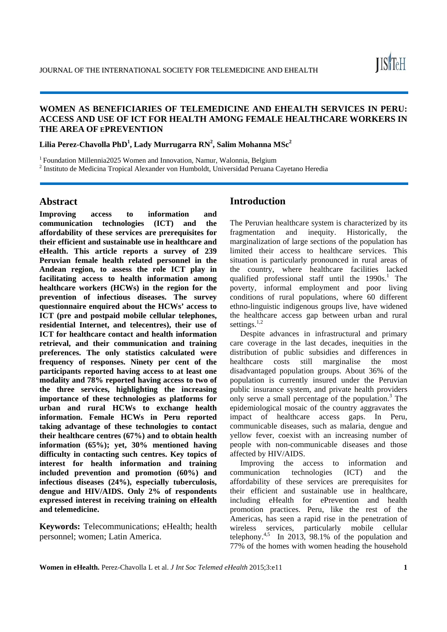## **WOMEN AS BENEFICIARIES OF TELEMEDICINE AND EHEALTH SERVICES IN PERU: ACCESS AND USE OF ICT FOR HEALTH AMONG FEMALE HEALTHCARE WORKERS IN THE AREA OF EPREVENTION**

**Lilia Perez-Chavolla PhD<sup>1</sup> , Lady Murrugarra RN2 , Salim Mohanna MSc<sup>2</sup>**

1 Foundation Millennia2025 Women and Innovation, Namur, Walonnia, Belgium

<sup>2</sup> Instituto de Medicina Tropical Alexander von Humboldt, Universidad Peruana Cayetano Heredia

## **Abstract**

**Improving access to information and communication technologies (ICT) and the affordability of these services are prerequisites for their efficient and sustainable use in healthcare and eHealth. This article reports a survey of 239 Peruvian female health related personnel in the Andean region, to assess the role ICT play in facilitating access to health information among healthcare workers (HCWs) in the region for the prevention of infectious diseases. The survey questionnaire enquired about the HCWs' access to ICT (pre and postpaid mobile cellular telephones, residential Internet, and telecentres), their use of ICT** for healthcare contact and health information **retrieval, and their communication and training preferences. The only statistics calculated were frequency of responses. Ninety per cent of the participants reported having access to at least one modality and 78% reported having access to two of the three services, highlighting the increasing importance of these technologies as platforms for urban and rural HCWs to exchange health information. Female HCWs in Peru reported taking advantage of these technologies to contact their healthcare centres (67%) and to obtain health information (65%); yet, 30% mentioned having difficulty in contacting such centres. Key topics of interest for health information and training included prevention and promotion (60%) and infectious diseases (24%), especially tuberculosis, dengue and HIV/AIDS. Only 2% of respondents expressed interest in receiving training on eHealth and telemedicine.** 

**Keywords:** Telecommunications; eHealth; health personnel; women; Latin America.

# **Introduction**

The Peruvian healthcare system is characterized by its fragmentation and inequity. Historically, the marginalization of large sections of the population has limited their access to healthcare services. This situation is particularly pronounced in rural areas of the country, where healthcare facilities lacked qualified professional staff until the  $1990s$ .<sup>1</sup> The poverty, informal employment and poor living conditions of rural populations, where 60 different ethno-linguistic indigenous groups live, have widened the healthcare access gap between urban and rural settings.<sup>1,2</sup>

Despite advances in infrastructural and primary care coverage in the last decades, inequities in the distribution of public subsidies and differences in healthcare costs still marginalise the most disadvantaged population groups. About 36% of the population is currently insured under the Peruvian public insurance system, and private health providers only serve a small percentage of the population. $3$  The epidemiological mosaic of the country aggravates the impact of healthcare access gaps. In Peru, communicable diseases, such as malaria, dengue and yellow fever, coexist with an increasing number of people with non-communicable diseases and those affected by HIV/AIDS.

Improving the access to information and communication technologies (ICT) and the affordability of these services are prerequisites for their efficient and sustainable use in healthcare, including eHealth for ePrevention and health promotion practices. Peru, like the rest of the Americas, has seen a rapid rise in the penetration of wireless services, particularly mobile cellular telephony.<sup>4,5</sup> In 2013, 98.1% of the population and 77% of the homes with women heading the household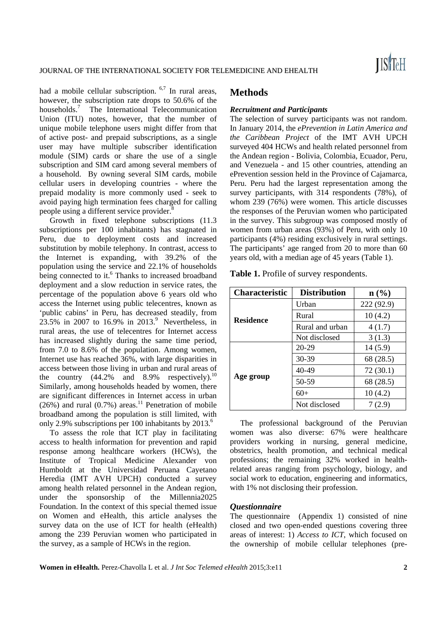had a mobile cellular subscription. <sup>6,7</sup> In rural areas, however, the subscription rate drops to 50.6% of the households.<sup>7</sup> The International Telecommunication Union (ITU) notes, however, that the number of unique mobile telephone users might differ from that of active post- and prepaid subscriptions, as a single user may have multiple subscriber identification module (SIM) cards or share the use of a single subscription and SIM card among several members of a household. By owning several SIM cards, mobile cellular users in developing countries - where the prepaid modality is more commonly used - seek to avoid paying high termination fees charged for calling people using a different service provider.<sup>8</sup>

Growth in fixed telephone subscriptions (11.3 subscriptions per 100 inhabitants) has stagnated in Peru, due to deployment costs and increased substitution by mobile telephony. In contrast, access to the Internet is expanding, with 39.2% of the population using the service and 22.1% of households being connected to it.<sup>6</sup> Thanks to increased broadband deployment and a slow reduction in service rates, the percentage of the population above 6 years old who access the Internet using public telecentres, known as 'public cabins' in Peru, has decreased steadily, from  $23.5\%$  in 2007 to 16.9% in 2013.<sup>9</sup> Nevertheless, in rural areas, the use of telecentres for Internet access has increased slightly during the same time period, from 7.0 to 8.6% of the population. Among women, Internet use has reached 36%, with large disparities in access between those living in urban and rural areas of the country  $(44.2\%$  and  $8.9\%$  respectively).<sup>10</sup> Similarly, among households headed by women, there are significant differences in Internet access in urban  $(26%)$  and rural  $(0.7%)$  areas.<sup>11</sup> Penetration of mobile broadband among the population is still limited, with only 2.9% subscriptions per 100 inhabitants by  $2013<sup>6</sup>$ 

To assess the role that ICT play in facilitating access to health information for prevention and rapid response among healthcare workers (HCWs), the Institute of Tropical Medicine Alexander von Humboldt at the Universidad Peruana Cayetano Heredia (IMT AVH UPCH) conducted a survey among health related personnel in the Andean region, under the sponsorship of the Millennia2025 Foundation. In the context of this special themed issue on Women and eHealth, this article analyses the survey data on the use of ICT for health (eHealth) among the 239 Peruvian women who participated in the survey, as a sample of HCWs in the region.

## **Methods**

#### *Recruitment and Participants*

The selection of survey participants was not random. In January 2014, the *ePrevention in Latin America and the Caribbean Project* of the IMT AVH UPCH surveyed 404 HCWs and health related personnel from the Andean region - Bolivia, Colombia, Ecuador, Peru, and Venezuela - and 15 other countries, attending an ePrevention session held in the Province of Cajamarca, Peru. Peru had the largest representation among the survey participants, with 314 respondents (78%), of whom 239 (76%) were women. This article discusses the responses of the Peruvian women who participated in the survey. This subgroup was composed mostly of women from urban areas (93%) of Peru, with only 10 participants (4%) residing exclusively in rural settings. The participants' age ranged from 20 to more than 60 years old, with a median age of 45 years (Table 1).

**Table 1.** Profile of survey respondents.

| <b>Characteristic</b> | <b>Distribution</b> | $n\left(\frac{0}{0}\right)$ |
|-----------------------|---------------------|-----------------------------|
|                       | Urban               | 222 (92.9)                  |
| <b>Residence</b>      | Rural               | 10(4.2)                     |
|                       | Rural and urban     | 4(1.7)                      |
|                       | Not disclosed       | 3(1.3)                      |
|                       | $20 - 29$           | 14(5.9)                     |
|                       | 30-39               | 68 (28.5)                   |
|                       | $40 - 49$           | 72(30.1)                    |
| Age group             | 50-59               | 68 (28.5)                   |
|                       | $60+$               | 10(4.2)                     |
|                       | Not disclosed       | 7(2.9)                      |

The professional background of the Peruvian women was also diverse: 67% were healthcare providers working in nursing, general medicine, obstetrics, health promotion, and technical medical professions; the remaining 32% worked in healthrelated areas ranging from psychology, biology, and social work to education, engineering and informatics, with 1% not disclosing their profession.

#### *Questionnaire*

The questionnaire (Appendix 1) consisted of nine closed and two open-ended questions covering three areas of interest: 1) *Access to ICT*, which focused on the ownership of mobile cellular telephones (pre-

**Women in eHealth.** Perez-Chavolla L et al. *J Int Soc Telemed eHealth* 2015;3:e11 **2**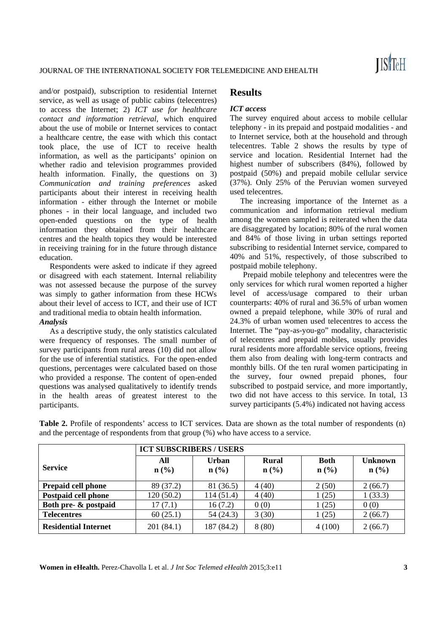and/or postpaid), subscription to residential Internet service, as well as usage of public cabins (telecentres) to access the Internet; 2) *ICT use for healthcare contact and information retrieval*, which enquired about the use of mobile or Internet services to contact a healthcare centre, the ease with which this contact took place, the use of ICT to receive health information, as well as the participants' opinion on whether radio and television programmes provided health information. Finally, the questions on 3) *Communication and training preferences* asked participants about their interest in receiving health information - either through the Internet or mobile phones - in their local language, and included two open-ended questions on the type of health information they obtained from their healthcare centres and the health topics they would be interested in receiving training for in the future through distance education.

Respondents were asked to indicate if they agreed or disagreed with each statement. Internal reliability was not assessed because the purpose of the survey was simply to gather information from these HCWs about their level of access to ICT, and their use of ICT and traditional media to obtain health information. *Analysis* 

As a descriptive study, the only statistics calculated were frequency of responses. The small number of survey participants from rural areas (10) did not allow for the use of inferential statistics. For the open-ended questions, percentages were calculated based on those who provided a response. The content of open-ended questions was analysed qualitatively to identify trends in the health areas of greatest interest to the participants.

## **Results**

#### *ICT access*

The survey enquired about access to mobile cellular telephony - in its prepaid and postpaid modalities - and to Internet service, both at the household and through telecentres. Table 2 shows the results by type of service and location. Residential Internet had the highest number of subscribers (84%), followed by postpaid (50%) and prepaid mobile cellular service (37%). Only 25% of the Peruvian women surveyed used telecentres.

The increasing importance of the Internet as a communication and information retrieval medium among the women sampled is reiterated when the data are disaggregated by location; 80% of the rural women and 84% of those living in urban settings reported subscribing to residential Internet service, compared to 40% and 51%, respectively, of those subscribed to postpaid mobile telephony.

Prepaid mobile telephony and telecentres were the only services for which rural women reported a higher level of access/usage compared to their urban counterparts: 40% of rural and 36.5% of urban women owned a prepaid telephone, while 30% of rural and 24.3% of urban women used telecentres to access the Internet. The "pay-as-you-go" modality, characteristic of telecentres and prepaid mobiles, usually provides rural residents more affordable service options, freeing them also from dealing with long-term contracts and monthly bills. Of the ten rural women participating in the survey, four owned prepaid phones, four subscribed to postpaid service, and more importantly, two did not have access to this service. In total, 13 survey participants (5.4%) indicated not having access

|                             | <b>ICT SUBSCRIBERS / USERS</b>     |                                      |                                             |                                            |                                               |
|-----------------------------|------------------------------------|--------------------------------------|---------------------------------------------|--------------------------------------------|-----------------------------------------------|
| <b>Service</b>              | All<br>$n\left(\frac{0}{0}\right)$ | Urban<br>$n\left(\frac{0}{0}\right)$ | <b>Rural</b><br>$n\left(\frac{0}{0}\right)$ | <b>Both</b><br>$n\left(\frac{0}{0}\right)$ | <b>Unknown</b><br>$n\left(\frac{0}{0}\right)$ |
| <b>Prepaid cell phone</b>   | 89 (37.2)                          | 81 (36.5)                            | 4(40)                                       | 2(50)                                      | 2(66.7)                                       |
| Postpaid cell phone         | 120(50.2)                          | 114(51.4)                            | 4(40)                                       | 1(25)                                      | 1(33.3)                                       |
| Both pre- & postpaid        | 17(7.1)                            | 16(7.2)                              | 0(0)                                        | 1(25)                                      | 0(0)                                          |
| <b>Telecentres</b>          | 60(25.1)                           | 54 (24.3)                            | 3(30)                                       | 1(25)                                      | 2(66.7)                                       |
| <b>Residential Internet</b> | 201(84.1)                          | 187 (84.2)                           | 8(80)                                       | 4(100)                                     | 2(66.7)                                       |

**Table 2.** Profile of respondents' access to ICT services. Data are shown as the total number of respondents (n) and the percentage of respondents from that group (%) who have access to a service.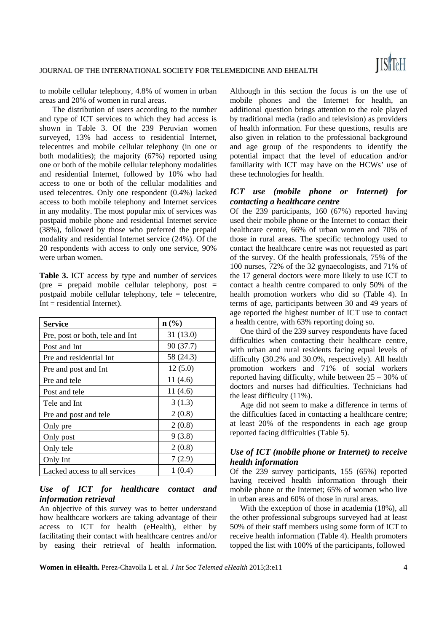to mobile cellular telephony, 4.8% of women in urban areas and 20% of women in rural areas.

The distribution of users according to the number and type of ICT services to which they had access is shown in Table 3. Of the 239 Peruvian women surveyed, 13% had access to residential Internet, telecentres and mobile cellular telephony (in one or both modalities); the majority (67%) reported using one or both of the mobile cellular telephony modalities and residential Internet, followed by 10% who had access to one or both of the cellular modalities and used telecentres. Only one respondent (0.4%) lacked access to both mobile telephony and Internet services in any modality. The most popular mix of services was postpaid mobile phone and residential Internet service (38%), followed by those who preferred the prepaid modality and residential Internet service (24%). Of the 20 respondents with access to only one service, 90% were urban women.

**Table 3.** ICT access by type and number of services (pre = prepaid mobile cellular telephony, post = postpaid mobile cellular telephony, tele = telecentre, Int = residential Internet).

| Service                         | $n\left(\frac{0}{0}\right)$ |
|---------------------------------|-----------------------------|
| Pre, post or both, tele and Int | 31(13.0)                    |
| Post and Int                    | 90 (37.7)                   |
| Pre and residential Int         | 58 (24.3)                   |
| Pre and post and Int            | 12(5.0)                     |
| Pre and tele                    | 11(4.6)                     |
| Post and tele                   | 11(4.6)                     |
| Tele and Int                    | 3(1.3)                      |
| Pre and post and tele           | 2(0.8)                      |
| Only pre                        | 2(0.8)                      |
| Only post                       | 9(3.8)                      |
| Only tele                       | 2(0.8)                      |
| Only Int                        | 7(2.9)                      |
| Lacked access to all services   | 1(0.4)                      |

## *Use of ICT for healthcare contact and information retrieval*

An objective of this survey was to better understand how healthcare workers are taking advantage of their access to ICT for health (eHealth), either by facilitating their contact with healthcare centres and/or by easing their retrieval of health information.

Although in this section the focus is on the use of mobile phones and the Internet for health, an additional question brings attention to the role played by traditional media (radio and television) as providers of health information. For these questions, results are also given in relation to the professional background and age group of the respondents to identify the potential impact that the level of education and/or familiarity with ICT may have on the HCWs' use of these technologies for health.

## *ICT use (mobile phone or Internet) for contacting a healthcare centre*

Of the 239 participants, 160 (67%) reported having used their mobile phone or the Internet to contact their healthcare centre, 66% of urban women and 70% of those in rural areas. The specific technology used to contact the healthcare centre was not requested as part of the survey. Of the health professionals, 75% of the 100 nurses, 72% of the 32 gynaecologists, and 71% of the 17 general doctors were more likely to use ICT to contact a health centre compared to only 50% of the health promotion workers who did so (Table 4). In terms of age, participants between 30 and 49 years of age reported the highest number of ICT use to contact a health centre, with 63% reporting doing so.

One third of the 239 survey respondents have faced difficulties when contacting their healthcare centre, with urban and rural residents facing equal levels of difficulty (30.2% and 30.0%, respectively). All health promotion workers and 71% of social workers reported having difficulty, while between 25 – 30% of doctors and nurses had difficulties. Technicians had the least difficulty (11%).

Age did not seem to make a difference in terms of the difficulties faced in contacting a healthcare centre; at least 20% of the respondents in each age group reported facing difficulties (Table 5).

## *Use of ICT (mobile phone or Internet) to receive health information*

Of the 239 survey participants, 155 (65%) reported having received health information through their mobile phone or the Internet; 65% of women who live in urban areas and 60% of those in rural areas.

With the exception of those in academia (18%), all the other professional subgroups surveyed had at least 50% of their staff members using some form of ICT to receive health information (Table 4). Health promoters topped the list with 100% of the participants, followed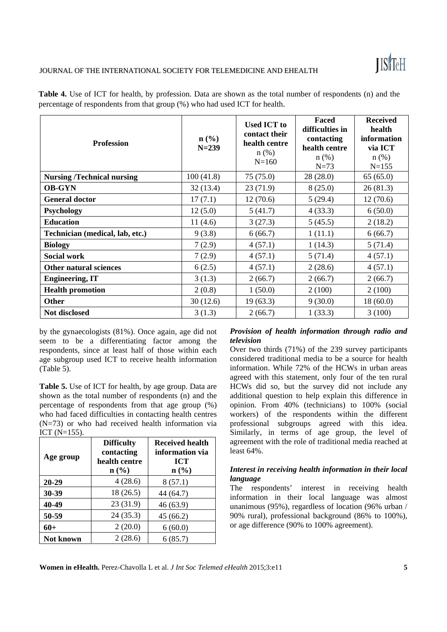# **ISTEH**

#### JOURNAL OF THE INTERNATIONAL SOCIETY FOR TELEMEDICINE AND EHEALTH

| <b>Profession</b>                 | $n\left(\frac{0}{0}\right)$<br>$N = 239$ | <b>Used ICT to</b><br>contact their<br>health centre<br>$n$ (%)<br>$N = 160$ | Faced<br>difficulties in<br>contacting<br>health centre<br>$n$ (%)<br>$N=73$ | <b>Received</b><br>health<br>information<br>via ICT<br>$n$ (%)<br>$N = 155$ |
|-----------------------------------|------------------------------------------|------------------------------------------------------------------------------|------------------------------------------------------------------------------|-----------------------------------------------------------------------------|
| <b>Nursing /Technical nursing</b> | 100(41.8)                                | 75 (75.0)                                                                    | 28(28.0)                                                                     | 65(65.0)                                                                    |
| <b>OB-GYN</b>                     | 32(13.4)                                 | 23(71.9)                                                                     | 8(25.0)                                                                      | 26(81.3)                                                                    |
| <b>General doctor</b>             | 17(7.1)                                  | 12(70.6)                                                                     | 5(29.4)                                                                      | 12(70.6)                                                                    |
| <b>Psychology</b>                 | 12(5.0)                                  | 5(41.7)                                                                      | 4(33.3)                                                                      | 6(50.0)                                                                     |
| <b>Education</b>                  | 11(4.6)                                  | 3(27.3)                                                                      | 5(45.5)                                                                      | 2(18.2)                                                                     |
| Technician (medical, lab, etc.)   | 9(3.8)                                   | 6(66.7)                                                                      | 1(11.1)                                                                      | 6(66.7)                                                                     |
| <b>Biology</b>                    | 7(2.9)                                   | 4(57.1)                                                                      | 1(14.3)                                                                      | 5(71.4)                                                                     |
| <b>Social work</b>                | 7(2.9)                                   | 4(57.1)                                                                      | 5(71.4)                                                                      | 4(57.1)                                                                     |
| Other natural sciences            | 6(2.5)                                   | 4(57.1)                                                                      | 2(28.6)                                                                      | 4(57.1)                                                                     |
| <b>Engineering, IT</b>            | 3(1.3)                                   | 2(66.7)                                                                      | 2(66.7)                                                                      | 2(66.7)                                                                     |
| <b>Health promotion</b>           | 2(0.8)                                   | 1(50.0)                                                                      | 2(100)                                                                       | 2(100)                                                                      |
| <b>Other</b>                      | 30(12.6)                                 | 19(63.3)                                                                     | 9(30.0)                                                                      | 18(60.0)                                                                    |
| Not disclosed                     | 3(1.3)                                   | 2(66.7)                                                                      | 1(33.3)                                                                      | 3(100)                                                                      |

**Table 4.** Use of ICT for health, by profession. Data are shown as the total number of respondents (n) and the percentage of respondents from that group (%) who had used ICT for health.

by the gynaecologists (81%). Once again, age did not seem to be a differentiating factor among the respondents, since at least half of those within each age subgroup used ICT to receive health information (Table 5).

**Table 5.** Use of ICT for health, by age group. Data are shown as the total number of respondents (n) and the percentage of respondents from that age group (%) who had faced difficulties in contacting health centres (N=73) or who had received health information via ICT  $(N=155)$ .

| Age group | <b>Difficulty</b><br>contacting<br>health centre<br>$n$ (%) | <b>Received health</b><br>information via<br><b>ICT</b><br>$\mathbf{n}(\%)$ |
|-----------|-------------------------------------------------------------|-----------------------------------------------------------------------------|
| $20 - 29$ | 4(28.6)                                                     | 8(57.1)                                                                     |
| 30-39     | 18 (26.5)                                                   | 44 (64.7)                                                                   |
| 40-49     | 23 (31.9)                                                   | 46 (63.9)                                                                   |
| 50-59     | 24(35.3)                                                    | 45 (66.2)                                                                   |
| $60+$     | 2(20.0)                                                     | 6(60.0)                                                                     |
| Not known | 2(28.6)                                                     | 6(85.7)                                                                     |

#### *Provision of health information through radio and television*

Over two thirds (71%) of the 239 survey participants considered traditional media to be a source for health information. While 72% of the HCWs in urban areas agreed with this statement, only four of the ten rural HCWs did so, but the survey did not include any additional question to help explain this difference in opinion. From 40% (technicians) to 100% (social workers) of the respondents within the different professional subgroups agreed with this idea. Similarly, in terms of age group, the level of agreement with the role of traditional media reached at least 64%.

## *Interest in receiving health information in their local language*

The respondents' interest in receiving health information in their local language was almost unanimous (95%), regardless of location (96% urban / 90% rural), professional background (86% to 100%), or age difference (90% to 100% agreement).

**Women in eHealth.** Perez-Chavolla L et al. *J Int Soc Telemed eHealth* 2015;3:e11 **5**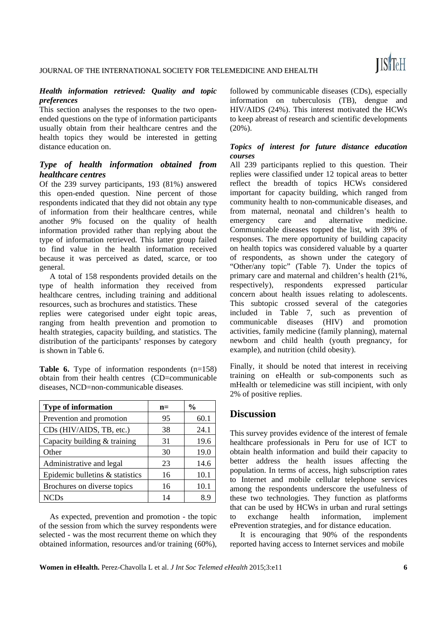#### *Health information retrieved: Quality and topic preferences*

This section analyses the responses to the two openended questions on the type of information participants usually obtain from their healthcare centres and the health topics they would be interested in getting distance education on.

## *Type of health information obtained from healthcare centres*

Of the 239 survey participants, 193 (81%) answered this open-ended question. Nine percent of those respondents indicated that they did not obtain any type of information from their healthcare centres, while another 9% focused on the quality of health information provided rather than replying about the type of information retrieved. This latter group failed to find value in the health information received because it was perceived as dated, scarce, or too general.

A total of 158 respondents provided details on the type of health information they received from healthcare centres, including training and additional resources, such as brochures and statistics. These

replies were categorised under eight topic areas, ranging from health prevention and promotion to health strategies, capacity building, and statistics. The distribution of the participants' responses by category is shown in Table 6.

**Table 6.** Type of information respondents (n=158) obtain from their health centres (CD=communicable diseases, NCD=non-communicable diseases.

| <b>Type of information</b>      | $n=$ | $\frac{0}{0}$ |
|---------------------------------|------|---------------|
| Prevention and promotion        | 95   | 60.1          |
| CDs (HIV/AIDS, TB, etc.)        | 38   | 24.1          |
| Capacity building & training    | 31   | 19.6          |
| Other                           | 30   | 19.0          |
| Administrative and legal        | 23   | 14.6          |
| Epidemic bulletins & statistics | 16   | 10.1          |
| Brochures on diverse topics     | 16   | 10.1          |
| <b>NCDs</b>                     | 14   | 8.S           |

As expected, prevention and promotion - the topic of the session from which the survey respondents were selected - was the most recurrent theme on which they obtained information, resources and/or training (60%),

followed by communicable diseases (CDs), especially information on tuberculosis (TB), dengue and HIV/AIDS (24%). This interest motivated the HCWs to keep abreast of research and scientific developments (20%).

## *Topics of interest for future distance education courses*

All 239 participants replied to this question. Their replies were classified under 12 topical areas to better reflect the breadth of topics HCWs considered important for capacity building, which ranged from community health to non-communicable diseases, and from maternal, neonatal and children's health to emergency care and alternative medicine. Communicable diseases topped the list, with 39% of responses. The mere opportunity of building capacity on health topics was considered valuable by a quarter of respondents, as shown under the category of "Other/any topic" (Table 7). Under the topics of primary care and maternal and children's health (21%, respectively), respondents expressed particular concern about health issues relating to adolescents. This subtopic crossed several of the categories included in Table 7, such as prevention of communicable diseases (HIV) and promotion activities, family medicine (family planning), maternal newborn and child health (youth pregnancy, for example), and nutrition (child obesity).

Finally, it should be noted that interest in receiving training on eHealth or sub-components such as mHealth or telemedicine was still incipient, with only 2% of positive replies.

## **Discussion**

This survey provides evidence of the interest of female healthcare professionals in Peru for use of ICT to obtain health information and build their capacity to better address the health issues affecting the population. In terms of access, high subscription rates to Internet and mobile cellular telephone services among the respondents underscore the usefulness of these two technologies. They function as platforms that can be used by HCWs in urban and rural settings to exchange health information, implement ePrevention strategies, and for distance education.

It is encouraging that 90% of the respondents reported having access to Internet services and mobile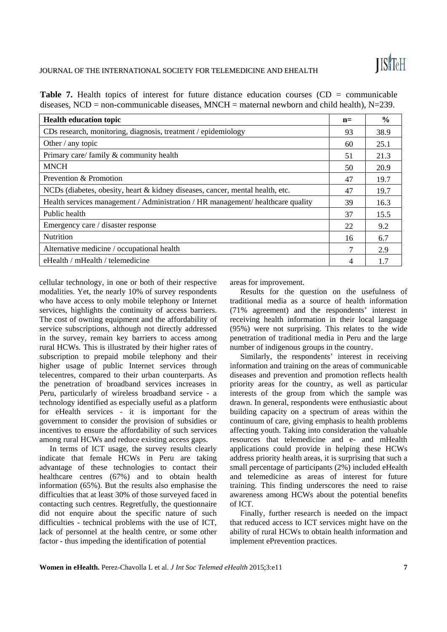#### JOURNAL OF THE INTERNATIONAL SOCIETY FOR TELEMEDICINE AND EHEALTH

**Table 7.** Health topics of interest for future distance education courses (CD = communicable diseases,  $NCD = non-communcable diseases$ ,  $MNCH =$  maternal newborn and child health),  $N=239$ .

| <b>Health education topic</b>                                                    | $n=$ | $\frac{6}{6}$ |
|----------------------------------------------------------------------------------|------|---------------|
| CDs research, monitoring, diagnosis, treatment / epidemiology                    | 93   | 38.9          |
| Other / any topic                                                                | 60   | 25.1          |
| Primary care/family & community health                                           | 51   | 21.3          |
| <b>MNCH</b>                                                                      | 50   | 20.9          |
| Prevention & Promotion                                                           | 47   | 19.7          |
| NCDs (diabetes, obesity, heart & kidney diseases, cancer, mental health, etc.    | 47   | 19.7          |
| Health services management / Administration / HR management / healthcare quality | 39   | 16.3          |
| Public health                                                                    | 37   | 15.5          |
| Emergency care / disaster response                                               | 22   | 9.2           |
| <b>Nutrition</b>                                                                 | 16   | 6.7           |
| Alternative medicine / occupational health                                       | 7    | 2.9           |
| eHealth / mHealth / telemedicine                                                 | 4    | 1.7           |

cellular technology, in one or both of their respective modalities. Yet, the nearly 10% of survey respondents who have access to only mobile telephony or Internet services, highlights the continuity of access barriers. The cost of owning equipment and the affordability of service subscriptions, although not directly addressed in the survey, remain key barriers to access among rural HCWs. This is illustrated by their higher rates of subscription to prepaid mobile telephony and their higher usage of public Internet services through telecentres, compared to their urban counterparts. As the penetration of broadband services increases in Peru, particularly of wireless broadband service - a technology identified as especially useful as a platform for eHealth services - it is important for the government to consider the provision of subsidies or incentives to ensure the affordability of such services among rural HCWs and reduce existing access gaps.

In terms of ICT usage, the survey results clearly indicate that female HCWs in Peru are taking advantage of these technologies to contact their healthcare centres (67%) and to obtain health information (65%). But the results also emphasise the difficulties that at least 30% of those surveyed faced in contacting such centres. Regretfully, the questionnaire did not enquire about the specific nature of such difficulties - technical problems with the use of ICT, lack of personnel at the health centre, or some other factor - thus impeding the identification of potential

areas for improvement.

Results for the question on the usefulness of traditional media as a source of health information (71% agreement) and the respondents' interest in receiving health information in their local language (95%) were not surprising. This relates to the wide penetration of traditional media in Peru and the large number of indigenous groups in the country.

Similarly, the respondents' interest in receiving information and training on the areas of communicable diseases and prevention and promotion reflects health priority areas for the country, as well as particular interests of the group from which the sample was drawn. In general, respondents were enthusiastic about building capacity on a spectrum of areas within the continuum of care, giving emphasis to health problems affecting youth. Taking into consideration the valuable resources that telemedicine and e- and mHealth applications could provide in helping these HCWs address priority health areas, it is surprising that such a small percentage of participants (2%) included eHealth and telemedicine as areas of interest for future training. This finding underscores the need to raise awareness among HCWs about the potential benefits of ICT.

Finally, further research is needed on the impact that reduced access to ICT services might have on the ability of rural HCWs to obtain health information and implement ePrevention practices.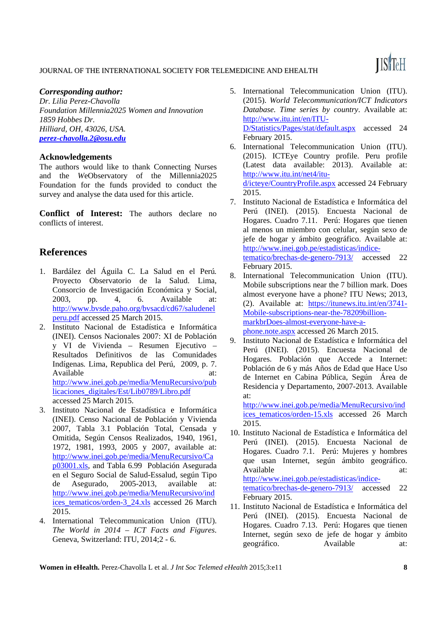# **ISTEH**

## JOURNAL OF THE INTERNATIONAL SOCIETY FOR TELEMEDICINE AND EHEALTH

#### *Corresponding author:*

*Dr. Lilia Perez-Chavolla Foundation Millennia2025 Women and Innovation 1859 Hobbes Dr. Hilliard, OH, 43026, USA. perez-chavolla.2@osu.edu*

#### **Acknowledgements**

The authors would like to thank Connecting Nurses and the *W*eObservatory of the Millennia2025 Foundation for the funds provided to conduct the survey and analyse the data used for this article.

**Conflict of Interest:** The authors declare no conflicts of interest.

# **References**

- 1. Bardález del Águila C. La Salud en el Perú*.* Proyecto Observatorio de la Salud. Lima, Consorcio de Investigación Económica y Social, 2003, pp. 4, 6. Available at: http://www.bvsde.paho.org/bvsacd/cd67/saludenel peru.pdf accessed 25 March 2015.
- 2. Instituto Nacional de Estadística e Informática (INEI). Censos Nacionales 2007: XI de Población y VI de Vivienda – Resumen Ejecutivo – Resultados Definitivos de las Comunidades Indígenas*.* Lima, Republica del Perú, 2009, p. 7. Available at: at: http://www.inei.gob.pe/media/MenuRecursivo/pub licaciones\_digitales/Est/Lib0789/Libro.pdf accessed 25 March 2015.
- 3. Instituto Nacional de Estadística e Informática (INEI). Censo Nacional de Población y Vivienda 2007, Tabla 3.1 Población Total, Censada y Omitida, Según Censos Realizados, 1940, 1961, 1972, 1981, 1993, 2005 y 2007, available at: http://www.inei.gob.pe/media/MenuRecursivo/Ca p03001.xls, and Tabla 6.99 Población Asegurada en el Seguro Social de Salud-Essalud, según Tipo de Asegurado, 2005-2013, available at: http://www.inei.gob.pe/media/MenuRecursivo/ind ices\_tematicos/orden-3\_24.xls accessed 26 March 2015.
- 4. International Telecommunication Union (ITU). *The World in 2014 – ICT Facts and Figures*. Geneva, Switzerland: ITU, 2014;2 - 6.
- 5. International Telecommunication Union (ITU). (2015). *World Telecommunication/ICT Indicators Database. Time series by country*. Available at: http://www.itu.int/en/ITU-D/Statistics/Pages/stat/default.aspx accessed 24 February 2015.
- 6. International Telecommunication Union (ITU). (2015). ICTEye Country profile. Peru profile (Latest data available: 2013). Available at: http://www.itu.int/net4/itud/icteye/CountryProfile.aspx accessed 24 February 2015.
- 7. Instituto Nacional de Estadística e Informática del Perú (INEI). (2015). Encuesta Nacional de Hogares. Cuadro 7.11. Perú: Hogares que tienen al menos un miembro con celular, según sexo de jefe de hogar y ámbito geográfico. Available at: http://www.inei.gob.pe/estadisticas/indicetematico/brechas-de-genero-7913/ accessed 22 February 2015.
- 8. International Telecommunication Union (ITU). Mobile subscriptions near the 7 billion mark. Does almost everyone have a phone? ITU News; 2013, (2). Available at: https://itunews.itu.int/en/3741- Mobile-subscriptions-near-the-78209billionmarkbrDoes-almost-everyone-have-aphone.note.aspx accessed 26 March 2015.
- 9. Instituto Nacional de Estadística e Informática del Perú (INEI). (2015). Encuesta Nacional de Hogares. Población que Accede a Internet: Población de 6 y más Años de Edad que Hace Uso de Internet en Cabina Pública, Según Área de Residencia y Departamento, 2007-2013. Available at:

http://www.inei.gob.pe/media/MenuRecursivo/ind ices tematicos/orden-15.xls accessed 26 March 2015.

- 10. Instituto Nacional de Estadística e Informática del Perú (INEI). (2015). Encuesta Nacional de Hogares. Cuadro 7.1. Perú: Mujeres y hombres que usan Internet, según ámbito geográfico. Available at: at: http://www.inei.gob.pe/estadisticas/indicetematico/brechas-de-genero-7913/ accessed 22 February 2015.
- 11. Instituto Nacional de Estadística e Informática del Perú (INEI). (2015). Encuesta Nacional de Hogares. Cuadro 7.13. Perú: Hogares que tienen Internet, según sexo de jefe de hogar y ámbito geográfico. Available at:

**Women in eHealth.** Perez-Chavolla L et al. *J Int Soc Telemed eHealth* 2015;3:e11 **8**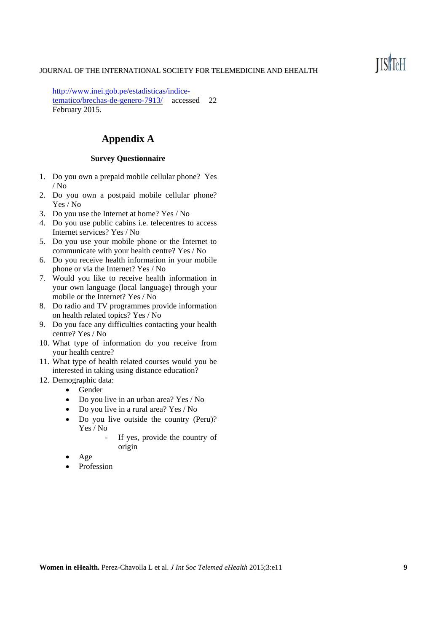#### JOURNAL OF THE INTERNATIONAL SOCIETY FOR TELEMEDICINE AND EHEALTH

http://www.inei.gob.pe/estadisticas/indicetematico/brechas-de-genero-7913/ accessed 22 February 2015.

# **Appendix A**

#### **Survey Questionnaire**

- 1. Do you own a prepaid mobile cellular phone? Yes / No
- 2. Do you own a postpaid mobile cellular phone? Yes / No
- 3. Do you use the Internet at home? Yes / No
- 4. Do you use public cabins i.e. telecentres to access Internet services? Yes / No
- 5. Do you use your mobile phone or the Internet to communicate with your health centre? Yes / No
- 6. Do you receive health information in your mobile phone or via the Internet? Yes / No
- 7. Would you like to receive health information in your own language (local language) through your mobile or the Internet? Yes / No
- 8. Do radio and TV programmes provide information on health related topics? Yes / No
- 9. Do you face any difficulties contacting your health centre? Yes / No
- 10. What type of information do you receive from your health centre?
- 11. What type of health related courses would you be interested in taking using distance education?
- 12. Demographic data:
	- Gender
	- Do you live in an urban area? Yes / No
	- Do you live in a rural area? Yes / No
	- Do you live outside the country (Peru)? Yes / No
		- If yes, provide the country of origin
	- Age
	- Profession

# **ISTEH**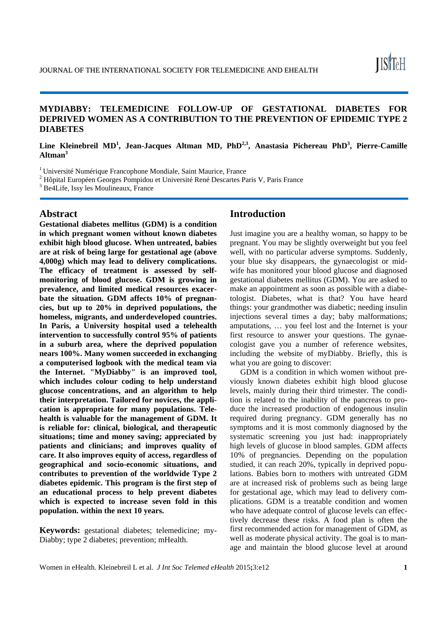## **MYDIABBY: TELEMEDICINE FOLLOW-UP OF GESTATIONAL DIABETES FOR DEPRIVED WOMEN AS A CONTRIBUTION TO THE PREVENTION OF EPIDEMIC TYPE 2 DIABETES**

## Line Kleinebreil MD<sup>1</sup>, Jean-Jacques Altman MD, PhD<sup>2,3</sup>, Anastasia Pichereau PhD<sup>3</sup>, Pierre-Camille **Altman3**

<sup>1</sup> Université Numérique Francophone Mondiale, Saint Maurice, France

<sup>2</sup> Hôpital Européen Georges Pompidou et Université René Descartes Paris V, Paris France

3 Be4Life, Issy les Moulineaux, France

#### **Abstract**

**Gestational diabetes mellitus (GDM) is a condition in which pregnant women without known diabetes exhibit high blood glucose. When untreated, babies are at risk of being large for gestational age (above 4,000g) which may lead to delivery complications. The efficacy of treatment is assessed by selfmonitoring of blood glucose. GDM is growing in prevalence, and limited medical resources exacerbate the situation. GDM affects 10% of pregnancies, but up to 20% in deprived populations, the homeless, migrants, and underdeveloped countries. In Paris, a University hospital used a telehealth intervention to successfully control 95% of patients in a suburb area, where the deprived population nears 100%. Many women succeeded in exchanging a computerised logbook with the medical team via the Internet. "MyDiabby" is an improved tool, which includes colour coding to help understand glucose concentrations, and an algorithm to help their interpretation. Tailored for novices, the application is appropriate for many populations. Telehealth is valuable for the management of GDM. It is reliable for: clinical, biological, and therapeutic situations; time and money saving; appreciated by patients and clinicians; and improves quality of care. It also improves equity of access, regardless of geographical and socio-economic situations, and contributes to prevention of the worldwide Type 2 diabetes epidemic. This program is the first step of an educational process to help prevent diabetes which is expected to increase seven fold in this population. within the next 10 years.** 

**Keywords:** gestational diabetes; telemedicine; my-Diabby; type 2 diabetes; prevention; mHealth.

## **Introduction**

Just imagine you are a healthy woman, so happy to be pregnant. You may be slightly overweight but you feel well, with no particular adverse symptoms. Suddenly, your blue sky disappears, the gynaecologist or midwife has monitored your blood glucose and diagnosed gestational diabetes mellitus (GDM). You are asked to make an appointment as soon as possible with a diabetologist. Diabetes, what is that? You have heard things: your grandmother was diabetic; needing insulin injections several times a day; baby malformations; amputations, … you feel lost and the Internet is your first resource to answer your questions. The gynaecologist gave you a number of reference websites, including the website of myDiabby. Briefly, this is what you are going to discover:

GDM is a condition in which women without previously known diabetes exhibit high blood glucose levels, mainly during their third trimester. The condition is related to the inability of the pancreas to produce the increased production of endogenous insulin required during pregnancy. GDM generally has no symptoms and it is most commonly diagnosed by the systematic screening you just had: inappropriately high levels of glucose in blood samples. GDM affects 10% of pregnancies. Depending on the population studied, it can reach 20%, typically in deprived populations. Babies born to mothers with untreated GDM are at increased risk of problems such as being large for gestational age, which may lead to delivery complications. GDM is a treatable condition and women who have adequate control of glucose levels can effectively decrease these risks. A food plan is often the first recommended action for management of GDM, as well as moderate physical activity. The goal is to manage and maintain the blood glucose level at around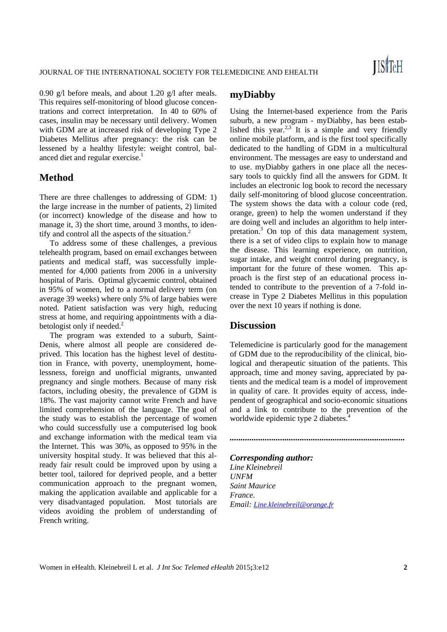0.90 g/l before meals, and about 1.20 g/l after meals. This requires self-monitoring of blood glucose concentrations and correct interpretation. In 40 to 60% of cases, insulin may be necessary until delivery. Women with GDM are at increased risk of developing Type 2 Diabetes Mellitus after pregnancy: the risk can be lessened by a healthy lifestyle: weight control, balanced diet and regular exercise.<sup>1</sup>

## **Method**

There are three challenges to addressing of GDM: 1) the large increase in the number of patients, 2) limited (or incorrect) knowledge of the disease and how to manage it, 3) the short time, around 3 months, to identify and control all the aspects of the situation. $2$ 

To address some of these challenges, a previous telehealth program, based on email exchanges between patients and medical staff, was successfully implemented for 4,000 patients from 2006 in a university hospital of Paris. Optimal glycaemic control, obtained in 95% of women, led to a normal delivery term (on average 39 weeks) where only 5% of large babies were noted. Patient satisfaction was very high, reducing stress at home, and requiring appointments with a diabetologist only if needed.<sup>2</sup>

The program was extended to a suburb, Saint-Denis, where almost all people are considered deprived. This location has the highest level of destitution in France, with poverty, unemployment, homelessness, foreign and unofficial migrants, unwanted pregnancy and single mothers. Because of many risk factors, including obesity, the prevalence of GDM is 18%. The vast majority cannot write French and have limited comprehension of the language. The goal of the study was to establish the percentage of women who could successfully use a computerised log book and exchange information with the medical team via the Internet. This was 30%, as opposed to 95% in the university hospital study. It was believed that this already fair result could be improved upon by using a better tool, tailored for deprived people, and a better communication approach to the pregnant women, making the application available and applicable for a very disadvantaged population. Most tutorials are videos avoiding the problem of understanding of French writing.

# **myDiabby**

Using the Internet-based experience from the Paris suburb, a new program - myDiabby, has been established this year. $2.3$  It is a simple and very friendly online mobile platform, and is the first tool specifically dedicated to the handling of GDM in a multicultural environment. The messages are easy to understand and to use. myDiabby gathers in one place all the necessary tools to quickly find all the answers for GDM. It includes an electronic log book to record the necessary daily self-monitoring of blood glucose conceentration. The system shows the data with a colour code (red, orange, green) to help the women understand if they are doing well and includes an algorithm to help interpretation.3 On top of this data management system, there is a set of video clips to explain how to manage the disease. This learning experience, on nutrition, sugar intake, and weight control during pregnancy, is important for the future of these women. This approach is the first step of an educational process intended to contribute to the prevention of a 7-fold increase in Type 2 Diabetes Mellitus in this population over the next 10 years if nothing is done.

## **Discussion**

Telemedicine is particularly good for the management of GDM due to the reproducibility of the clinical, biological and therapeutic situation of the patients. This approach, time and money saving, appreciated by patients and the medical team is a model of improvement in quality of care. It provides equity of access, independent of geographical and socio-economic situations and a link to contribute to the prevention of the worldwide epidemic type 2 diabetes.<sup>4</sup>

*................................................................................* 

# *Corresponding author:*

*Line Kleinebreil UNFM Saint Maurice France. Email: Line.kleinebreil@orange.fr*